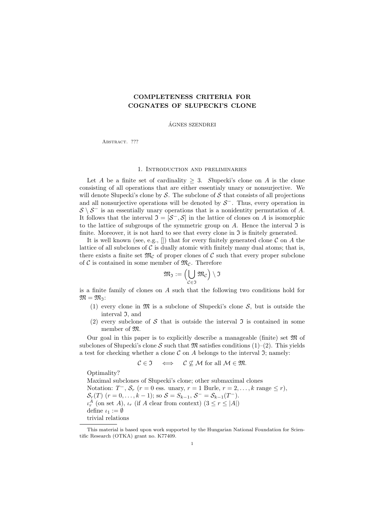# COMPLETENESS CRITERIA FOR COGNATES OF SLUPECKI'S CLONE

AGNES SZENDREI ´

ABSTRACT. ???

# 1. Introduction and preliminaries

Let A be a finite set of cardinality  $\geq 3$ . Supecki's clone on A is the clone consisting of all operations that are either essentialy unary or nonsurjective. We will denote Słupecki's clone by  $S$ . The subclone of S that consists of all projections and all nonsurjective operations will be denoted by  $S^-$ . Thus, every operation in  $S \ S^{-1}$  is an essentially unary operations that is a nonidentity permutation of A. It follows that the interval  $\mathfrak{I} = [\mathcal{S}^-, \mathcal{S}]$  in the lattice of clones on A is isomorphic to the lattice of subgroups of the symmetric group on  $A$ . Hence the interval  $\mathfrak I$  is finite. Moreover, it is not hard to see that every clone in  $\mathfrak I$  is finitely generated.

It is well known (see, e.g.,  $\Box$ ) that for every finitely generated clone C on A the lattice of all subclones of  $\mathcal C$  is dually atomic with finitely many dual atoms; that is, there exists a finite set  $\mathfrak{M}_{\mathcal{C}}$  of proper clones of  $\mathcal{C}$  such that every proper subclone of  $\mathcal C$  is contained in some member of  $\mathfrak{M}_{\mathcal C}$ . Therefore

$$
\mathfrak{M}_{\mathfrak{I}}:=\Bigl(\bigcup_{\mathcal{C}\in\mathfrak{I}}\mathfrak{M}_{\mathcal{C}}\Bigr)\setminus\mathfrak{I}
$$

is a finite family of clones on A such that the following two conditions hold for  $\mathfrak{M} = \mathfrak{M}_{\mathfrak{I}}$ :

- (1) every clone in  $\mathfrak{M}$  is a subclone of Shupecki's clone S, but is outside the interval I, and
- (2) every subclone of S that is outside the interval  $\mathfrak I$  is contained in some member of M.

Our goal in this paper is to explicitly describe a manageable (finite) set  $\mathfrak{M}$  of subclones of Shupecki's clone S such that  $\mathfrak{M}$  satisfies conditions (1)–(2). This yields a test for checking whether a clone  $\mathcal C$  on  $A$  belongs to the interval  $\mathfrak I$ ; namely:

$$
C\in\mathfrak{I}\quad\iff\quad\mathcal{C}\not\subseteq\mathcal{M}\text{ for all }\mathcal{M}\in\mathfrak{M}.
$$

Optimality? Maximal subclones of Słupecki's clone; other submaximal clones Notation:  $T^-$ ,  $S_r$   $(r = 0$  ess. unary,  $r = 1$  Burle,  $r = 2, ..., k$  range  $\leq r$ ),  $S_r(T)$   $(r = 0, \ldots, k - 1)$ ; so  $S = S_{k-1}, S^- = S_{k-1}(T^-)$ .  $\iota_r^A$  (on set A),  $\iota_r$  (if A clear from context)  $(3 \leq r \leq |A|)$ define  $\iota_1 := \emptyset$ trivial relations

This material is based upon work supported by the Hungarian National Foundation for Scientific Research (OTKA) grant no. K77409.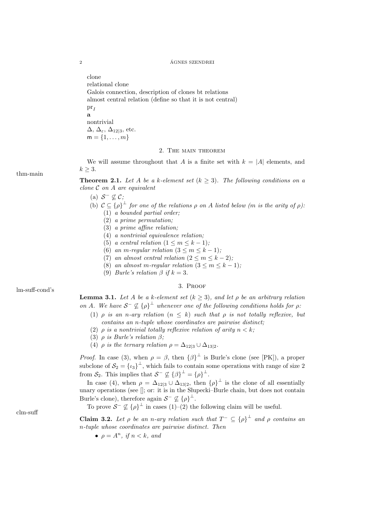clone relational clone Galois connection, description of clones bt relations almost central relation (define so that it is not central)  $\text{pr}_I$ a nontrivial  $\Delta$ ,  $\Delta_{\varepsilon}$ ,  $\Delta_{12|3}$ , etc.  $m = \{1, \ldots, m\}$ 

# 2. The main theorem

We will assume throughout that A is a finite set with  $k = |A|$  elements, and  $k \geq 3$ .

**Theorem 2.1.** Let A be a k-element set  $(k \geq 3)$ . The following conditions on a clone  $C$  on  $A$  are equivalent

- (a)  $S^- \not\subseteq C$ ;
- (b)  $C \subseteq {\rho}^{\perp}$  for one of the relations  $\rho$  on A listed below (m is the arity of  $\rho$ ): (1) a bounded partial order;
	- (2) a prime permutation;
	- (3) a prime affine relation;
	- (4) a nontrivial equivalence relation;
	- (5) a central relation  $(1 \leq m \leq k 1);$
	- (6) an m-regular relation  $(3 \le m \le k 1);$
	- (7) an almost central relation  $(2 \le m \le k-2)$ ;
	- (8) an almost m-regular relation  $(3 \le m \le k-1);$
	- (9) *Burle's relation*  $\beta$  *if*  $k = 3$ .

3. Proof lm-suff-cond's

**Lemma 3.1.** Let A be a k-element set  $(k \geq 3)$ , and let  $\rho$  be an arbitrary relation on A. We have  $S^-\nsubseteq {\rho}^{\perp}$  whenever one of the following conditions holds for  $\rho$ .

- (1)  $\rho$  is an n-ary relation  $(n \leq k)$  such that  $\rho$  is not totally reflexive, but contains an n-tuple whose coordinates are pairwise distinct;
- (2)  $\rho$  is a nontrivial totally reflexive relation of arity  $n < k$ ;
- (3)  $\rho$  is Burle's relation  $\beta$ ;
- (4)  $\rho$  is the ternary relation  $\rho = \Delta_{12|3} \cup \Delta_{13|2}$ .

*Proof.* In case (3), when  $\rho = \beta$ , then  $\{\beta\}^{\perp}$  is Burle's clone (see [PK]), a proper subclone of  $S_2 = {\ell_3}^{\perp}$ , which fails to contain some operations with range of size 2 from  $S_2$ . This implies that  $S^- \nsubseteq {\{\beta\}}^{\perp} = {\{\rho\}}^{\perp}$ .

In case (4), when  $\rho = \Delta_{12|3} \cup \Delta_{13|2}$ , then  $\{\rho\}^{\perp}$  is the clone of all essentially unary operations (see  $\parallel$ ; or: it is in the Slupecki–Burle chain, but does not contain Burle's clone), therefore again  $S^- \nsubseteq {\{\rho\}}^{\perp}$ .

To prove  $S^{-} \nsubseteq {\rho}^{\perp}$  in cases (1)–(2) the following claim will be useful.

**Claim 3.2.** Let  $\rho$  be an n-ary relation such that  $T^{-} \subseteq {\rho}^{\perp}$  and  $\rho$  contains an n-tuple whose coordinates are pairwise distinct. Then

•  $\rho = A^n$ , if  $n < k$ , and

thm-main

clm-suff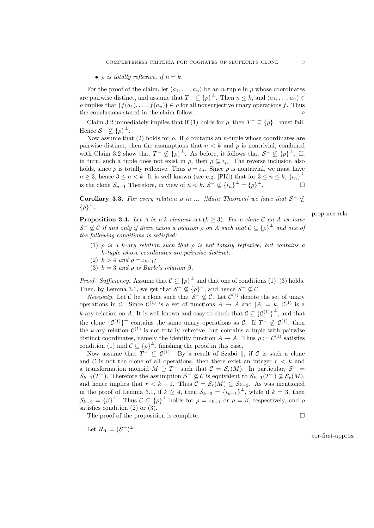•  $\rho$  is totally reflexive, if  $n = k$ .

For the proof of the claim, let  $(a_1, \ldots, a_n)$  be an *n*-tuple in  $\rho$  whose coordinates are pairwise distinct, and assume that  $T^- \subseteq {\{\rho\}}^{\perp}$ . Then  $n \leq k$ , and  $(a_1, \ldots, a_n) \in$  $\rho$  implies that  $(f(a_1),...,f(a_n)) \in \rho$  for all nonsurjective unary operations f. Thus the conclusions stated in the claim follow.

Claim 3.2 immediately implies that if (1) holds for  $\rho$ , then  $T^- \subseteq {\{\rho\}}^{\perp}$  must fail. Hence  $S^- \nsubseteq {\{\rho\}}^{\perp}$ .

Now assume that (2) holds for  $\rho$ . If  $\rho$  contains an *n*-tuple whose coordinates are pairwise distinct, then the assumptions that  $n < k$  and  $\rho$  is nontrivial, combined with Claim 3.2 show that  $T^{-} \nsubseteq {\{\rho\}}^{\perp}$ . As before, it follows that  $S^{-} \nsubseteq {\{\rho\}}^{\perp}$ . If, in turn, such a tuple does not exist in  $\rho$ , then  $\rho \subseteq \iota_n$ . The reverse inclusion also holds, since  $\rho$  is totally reflexive. Thus  $\rho = \iota_n$ . Since  $\rho$  is nontrivial, we must have  $n \geq 3$ , hence  $3 \leq n < k$ . It is well known (see e.g. [PK]) that for  $3 \leq n \leq k$ ,  $\{\iota_n\}^{\perp}$ is the clone  $S_{n-1}$  Therefore, in view of  $n < k$ ,  $S^- \nsubseteq {\{\iota_n\}}^{\perp} = {\{\rho\}}^{\perp}$ . — П

**Corollary 3.3.** For every relation  $\rho$  in ... [Main Theorem] we have that  $S^{-} \nsubseteq$  $\{\rho\}^{\perp}$ .

prop-nec-rels

**Proposition 3.4.** Let A be a k-element set  $(k > 3)$ . For a clone C on A we have  $\mathcal{S}^-\not\subseteq\mathcal{C}$  if and only if there exists a relation  $\rho$  on A such that  $\mathcal{C}\subseteq{\{\rho\}}^\perp$  and one of the following conditions is satisfied:

- (1)  $\rho$  is a k-ary relation such that  $\rho$  is not totally reflexive, but contains a k-tuple whose coordinates are pairwise distinct;
- (2)  $k > 4$  and  $\rho = \iota_{k-1}$ ;
- (3)  $k = 3$  and  $\rho$  is Burle's relation  $\beta$ .

*Proof.* Sufficiency. Assume that  $\mathcal{C} \subseteq {\{\rho\}}^{\perp}$  and that one of conditions (1)–(3) holds. Then, by Lemma 3.1, we get that  $S^- \nsubseteq {\{\rho\}}^{\perp}$ , and hence  $S^- \nsubseteq \mathcal{C}$ .

*Necessity*. Let C be a clone such that  $S^- \not\subseteq \mathcal{C}$ . Let  $\mathcal{C}^{(1)}$  denote the set of unary operations in C. Since  $\mathcal{C}^{(1)}$  is a set of functions  $A \to A$  and  $|A| = k$ ,  $\mathcal{C}^{(1)}$  is a k-ary relation on A. It is well known and easy to check that  $\mathcal{C} \subseteq {\{\mathcal{C}^{(1)}\}}^{\perp}$ , and that the clone  ${C^{(1)}}^{\perp}$  contains the same unary operations as C. If  $T^{-} \nsubseteq C^{(1)}$ , then the k-ary relation  $\mathcal{C}^{(1)}$  is not totally reflexive, but contains a tuple with pairwise distinct coordinates, namely the identity function  $A \to A$ . Thus  $\rho := \mathcal{C}^{(1)}$  satisfies condition (1) and  $\mathcal{C} \subseteq {\rho}^{\perp}$ , finishing the proof in this case.

Now assume that  $T^- \subseteq \mathcal{C}^{(1)}$ . By a result of Szabó  $\parallel$ , if C is such a clone and  $\mathcal C$  is not the clone of all operations, then there exist an integer  $r < k$  and a transformation monoid  $M \supseteq T^-$  such that  $\mathcal{C} = \mathcal{S}_r(M)$ . In particular,  $\mathcal{S}^ \mathcal{S}_{k-1}(T^-)$ . Therefore the assumption  $\mathcal{S}^- \not\subseteq \mathcal{C}$  is equivalent to  $\mathcal{S}_{k-1}(T^-) \not\subseteq \mathcal{S}_r(M)$ , and hence implies that  $r < k - 1$ . Thus  $C = \mathcal{S}_r(M) \subseteq \mathcal{S}_{k-2}$ . As was mentioned in the proof of Lemma 3.1, if  $k \geq 4$ , then  $S_{k-2} = {\{\iota_{k-1}\}}^{\perp}$ , while if  $k = 3$ , then  $\mathcal{S}_{k-2} = {\beta}^{\perp}$ . Thus  $\mathcal{C} \subseteq {\rho}^{\perp}$  holds for  $\rho = \iota_{k-1}$  or  $\rho = \beta$ , respectively, and  $\rho$ satisfies condition (2) or (3).

The proof of the proposition is complete.  $\Box$ 

Let  $\mathcal{R}_0 := (\mathcal{S}^-)^{\perp}$ .

cor-first-approx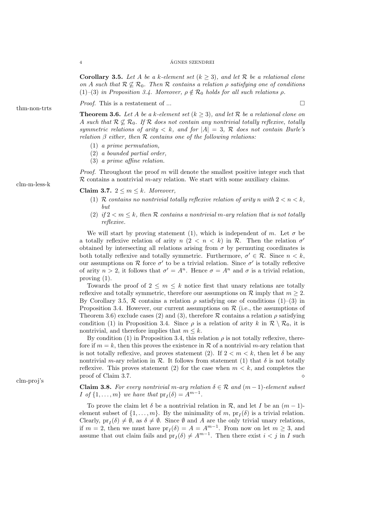**Corollary 3.5.** Let A be a k-element set  $(k \geq 3)$ , and let R be a relational clone on A such that  $\mathcal{R} \nsubseteq \mathcal{R}_0$ . Then  $\mathcal{R}$  contains a relation  $\rho$  satisfying one of conditions (1)–(3) in Proposition 3.4. Moreover,  $\rho \notin \mathcal{R}_0$  holds for all such relations  $\rho$ .

*Proof.* This is a restatement of ...  $\Box$ 

**Theorem 3.6.** Let A be a k-element set  $(k \geq 3)$ , and let R be a relational clone on A such that  $\mathcal{R} \nsubseteq \mathcal{R}_0$ . If  $\mathcal{R}$  does not contain any nontrivial totally reflexive, totally symmetric relations of arity  $\langle k, \text{ and for } |A| = 3, \mathcal{R}$  does not contain Burle's relation  $\beta$  either, then  $\mathcal R$  contains one of the following relations:

- (1) a prime permutation,
- (2) a bounded partial order,
- (3) a prime affine relation.

*Proof.* Throughout the proof m will denote the smallest positive integer such that  $\mathcal R$  contains a nontrivial *m*-ary relation. We start with some auxiliary claims.

Claim 3.7.  $2 \leq m \leq k$ . Moreover,

- (1) R contains no nontrivial totally reflexive relation of arity n with  $2 < n < k$ , but
- (2) if  $2 < m \leq k$ , then R contains a nontrivial m-ary relation that is not totally reflexive.

We will start by proving statement (1), which is independent of m. Let  $\sigma$  be a totally reflexive relation of arity  $n (2 < n < k)$  in R. Then the relation  $\sigma'$ obtained by intersecting all relations arising from  $\sigma$  by permuting coordinates is both totally reflexive and totally symmetric. Furthermore,  $\sigma' \in \mathcal{R}$ . Since  $n < k$ , our assumptions on  $R$  force  $\sigma'$  to be a trivial relation. Since  $\sigma'$  is totally reflexive of arity  $n > 2$ , it follows that  $\sigma' = A^n$ . Hence  $\sigma = A^n$  and  $\sigma$  is a trivial relation, proving (1).

Towards the proof of  $2 \leq m \leq k$  notice first that unary relations are totally reflexive and totally symmetric, therefore our assumptions on  $\mathcal R$  imply that  $m \geq 2$ . By Corollary 3.5,  $\mathcal R$  contains a relation  $\rho$  satisfying one of conditions (1)–(3) in Proposition 3.4. However, our current assumptions on  $\mathcal R$  (i.e., the assumptions of Theorem 3.6) exclude cases (2) and (3), therefore R contains a relation  $\rho$  satisfying condition (1) in Proposition 3.4. Since  $\rho$  is a relation of arity k in  $\mathcal{R} \setminus \mathcal{R}_0$ , it is nontrivial, and therefore implies that  $m \leq k$ .

By condition (1) in Proposition 3.4, this relation  $\rho$  is not totally reflexive, therefore if  $m = k$ , then this proves the existence in R of a nontrivial m-ary relation that is not totally reflexive, and proves statement (2). If  $2 < m < k$ , then let  $\delta$  be any nontrivial m-ary relation in  $\mathcal R$ . It follows from statement (1) that  $\delta$  is not totally reflexive. This proves statement (2) for the case when  $m < k$ , and completes the proof of Claim 3.7.

**Claim 3.8.** For every nontrivial m-ary relation  $\delta \in \mathcal{R}$  and  $(m-1)$ -element subset *I* of  $\{1, \ldots, m\}$  we have that  $pr_I(\delta) = A^{m-1}$ .

To prove the claim let  $\delta$  be a nontrivial relation in  $\mathcal{R}$ , and let I be an  $(m-1)$ element subset of  $\{1, \ldots, m\}$ . By the minimality of m,  $pr_I(\delta)$  is a trivial relation. Clearly,  $pr_I(\delta) \neq \emptyset$ , as  $\delta \neq \emptyset$ . Since  $\emptyset$  and A are the only trivial unary relations, if  $m = 2$ , then we must have  $pr_I(\delta) = A = A^{m-1}$ . From now on let  $m \geq 3$ , and assume that out claim fails and  $pr_I(\delta) \neq A^{m-1}$ . Then there exist  $i < j$  in I such

clm-m-less-k

thm-non-trts

clm-proj's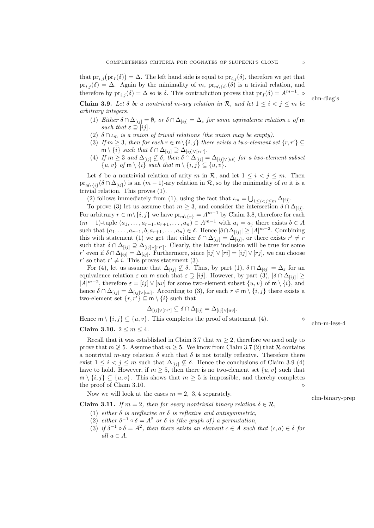that  $\mathrm{pr}_{i,j}(\mathrm{pr}_I(\delta)) = \Delta$ . The left hand side is equal to  $\mathrm{pr}_{i,j}(\delta)$ , therefore we get that  $pr_{i,j}(\delta) = \Delta$ . Again by the minimality of m,  $pr_{m\setminus\{i\}}(\delta)$  is a trivial relation, and therefore by  $pr_{i,j}(\delta) = \Delta$  so is  $\delta$ . This contradiction proves that  $pr_I(\delta) = A^{m-1}$ .

**Claim 3.9.** Let  $\delta$  be a nontrivial m-ary relation in  $\mathcal{R}$ , and let  $1 \leq i < j \leq m$  be arbitrary integers.

- (1) Either  $\delta \cap \Delta_{[ij]} = \emptyset$ , or  $\delta \cap \Delta_{[ij]} = \Delta_{\varepsilon}$  for some equivalence relation  $\varepsilon$  of m such that  $\varepsilon \supset [ii]$ .
- (2)  $\delta \cap \iota_m$  is a union of trivial relations (the union may be empty).
- (3) If  $m \geq 3$ , then for each  $r \in m \setminus \{i, j\}$  there exists a two-element set  $\{r, r'\} \subseteq$  $\mathsf{m}\setminus\{i\}$  such that  $\delta\cap\Delta_{[ij]}\supseteq\Delta_{[ij]\vee\lceil rr'\rceil}$ .
- (4) If  $m \geq 3$  and  $\Delta_{[ij]} \nsubseteq \delta$ , then  $\delta \cap \Delta_{[ij]} = \Delta_{[ij] \vee [uv]}$  for a two-element subset  $\{u, v\}$  of  $m \setminus \{i\}$  such that  $m \setminus \{i, j\} \subseteq \{u, v\}.$

Let  $\delta$  be a nontrivial relation of arity m in R, and let  $1 \leq i \leq j \leq m$ . Then  $\text{pr}_{m\setminus\{i\}}(\delta\cap\Delta_{[ij]})$  is an  $(m-1)$ -ary relation in R, so by the minimality of m it is a trivial relation. This proves (1).

(2) follows immediately from (1), using the fact that  $\iota_m = \bigcup_{1 \leq i < j \leq m} \Delta_{[ij]}$ .

To prove (3) let us assume that  $m \geq 3$ , and consider the intersection  $\delta \cap \Delta_{[ij]}$ . For arbitrary  $r \in \mathsf{m} \setminus \{i, j\}$  we have  $\mathrm{pr}_{\mathsf{m} \setminus \{r\}} = A^{m-1}$  by Claim 3.8, therefore for each  $(m-1)$ -tuple  $(a_1, \ldots, a_{r-1}, a_{r+1}, \ldots, a_n) \in A^{m-1}$  with  $a_i = a_j$  there exists  $b \in A$ such that  $(a_1, \ldots, a_{r-1}, b, a_{r+1}, \ldots, a_n) \in \delta$ . Hence  $|\delta \cap \Delta_{[ij]}| \geq |A|^{m-2}$ . Combining this with statement (1) we get that either  $\delta \cap \Delta_{[ij]} = \Delta_{[ij]}$ , or there exists  $r' \neq r$ such that  $\delta \cap \Delta_{[ij]} \supseteq \Delta_{[ij] \vee [rr']}$ . Clearly, the latter inclusion will be true for some r' even if  $\delta \cap \Delta_{[ij]} = \Delta_{[ij]}$ . Furthermore, since  $[ij] \vee [ri] = [ij] \vee [rj]$ , we can choose r' so that  $r' \neq i$ . This proves statement (3).

For (4), let us assume that  $\Delta_{[ij]} \nsubseteq \delta$ . Thus, by part (1),  $\delta \cap \Delta_{[ij]} = \Delta_{\varepsilon}$  for an equivalence relation  $\varepsilon$  on m such that  $\varepsilon \supsetneq [ij]$ . However, by part  $(3)$ ,  $|\delta \cap \Delta_{[ij]}| \geq$  $|A|^{m-2}$ , therefore  $\varepsilon = [ij] \vee [uv]$  for some two-element subset  $\{u, v\}$  of  $m \setminus \{i\}$ , and hence  $\delta \cap \Delta_{[ij]} = \Delta_{[ij] \vee [uv]}$ . According to (3), for each  $r \in \mathsf{m} \setminus \{i, j\}$  there exists a two-element set  $\{r, r^i\} \subseteq m \setminus \{i\}$  such that

$$
\Delta_{[ij]\vee[r\cdot r']} \subseteq \delta \cap \Delta_{[ij]} = \Delta_{[ij]\vee [uv]}.
$$

Hence  $\mathsf{m} \setminus \{i, j\} \subseteq \{u, v\}$ . This completes the proof of statement (4). Claim 3.10.  $2 \leq m \leq 4$ .

Recall that it was established in Claim 3.7 that  $m \geq 2$ , therefore we need only to prove that  $m \geq 5$ . Assume that  $m \geq 5$ . We know from Claim 3.7 (2) that R contains a nontrivial m-ary relation  $\delta$  such that  $\delta$  is not totally reflexive. Therefore there exist  $1 \leq i < j \leq m$  such that  $\Delta_{[ij]} \not\subseteq \delta$ . Hence the conclusions of Claim 3.9 (4) have to hold. However, if  $m \geq 5$ , then there is no two-element set  $\{u, v\}$  such that  $\mathsf{m} \setminus \{i, j\} \subseteq \{u, v\}.$  This shows that  $m \geq 5$  is impossible, and thereby completes the proof of Claim 3.10.

Now we will look at the cases  $m = 2, 3, 4$  separately. clm-binary-prep

**Claim 3.11.** If  $m = 2$ , then for every nontrivial binary relation  $\delta \in \mathcal{R}$ ,

- (1) either  $\delta$  is areflexive or  $\delta$  is reflexive and antisymmetric,
- (2) either  $\delta^{-1} \circ \delta = A^2$  or  $\delta$  is (the graph of) a permutation,
- (3) if  $\delta^{-1} \circ \delta = A^2$ , then there exists an element  $c \in A$  such that  $(c, a) \in \delta$  for all  $a \in A$ .

clm-diag's

clm-m-less-4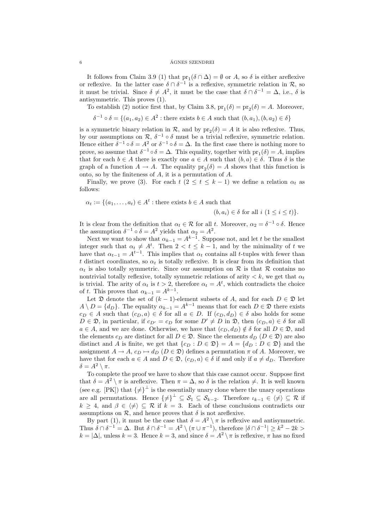It follows from Claim 3.9 (1) that  $pr_1(\delta \cap \Delta) = \emptyset$  or A, so  $\delta$  is either areflexive or reflexive. In the latter case  $\delta \cap \delta^{-1}$  is a reflexive, symmetric relation in  $\mathcal{R}$ , so it must be trivial. Since  $\delta \neq A^2$ , it must be the case that  $\delta \cap \delta^{-1} = \Delta$ , i.e.,  $\delta$  is antisymmetric. This proves (1).

To establish (2) notice first that, by Claim 3.8,  $pr_1(\delta) = pr_2(\delta) = A$ . Moreover,

 $\delta^{-1} \circ \delta = \{(a_1, a_2) \in A^2 : \text{there exists } b \in A \text{ such that } (b, a_1), (b, a_2) \in \delta\}$ 

is a symmetric binary relation in  $\mathcal{R}$ , and by  $pr_2(\delta) = A$  it is also reflexive. Thus, by our assumptions on  $\mathcal{R}, \delta^{-1} \circ \delta$  must be a trivial reflexive, symmetric relation. Hence either  $\delta^{-1} \circ \delta = A^2$  or  $\delta^{-1} \circ \delta = \Delta$ . In the first case there is nothing more to prove, so assume that  $\delta^{-1} \circ \delta = \Delta$ . This equality, together with  $pr_1(\delta) = A$ , implies that for each  $b \in A$  there is exactly one  $a \in A$  such that  $(b, a) \in \delta$ . Thus  $\delta$  is the graph of a function  $A \to A$ . The equality  $pr_2(\delta) = A$  shows that this function is onto, so by the finiteness of A, it is a permutation of A.

Finally, we prove (3). For each  $t$  ( $2 \le t \le k-1$ ) we define a relation  $\alpha_t$  as follows:

 $\alpha_t := \{(a_1, \ldots, a_t) \in A^t : \text{there exists } b \in A \text{ such that }\}$ 

$$
(b, a_i) \in \delta
$$
 for all  $i (1 \leq i \leq t)$ .

It is clear from the definition that  $\alpha_t \in \mathcal{R}$  for all t. Moreover,  $\alpha_2 = \delta^{-1} \circ \delta$ . Hence the assumption  $\delta^{-1} \circ \delta = A^2$  yields that  $\alpha_2 = A^2$ .

Next we want to show that  $\alpha_{k-1} = A^{k-1}$ . Suppose not, and let t be the smallest integer such that  $\alpha_t \neq A^t$ . Then  $2 < t \leq k-1$ , and by the minimality of t we have that  $\alpha_{t-1} = A^{t-1}$ . This implies that  $\alpha_t$  contains all t-tuples with fewer than t distinct coordinates, so  $\alpha_t$  is totally reflexive. It is clear from its definition that  $\alpha_t$  is also totally symmetric. Since our assumption on R is that R contains no nontrivial totally reflexive, totally symmetric relations of arity  $\langle k, w \rangle$  get that  $\alpha_t$ is trivial. The arity of  $\alpha_t$  is  $t > 2$ , therefore  $\alpha_t = A^t$ , which contradicts the choice of t. This proves that  $\alpha_{k-1} = A^{k-1}$ .

Let  $\mathfrak D$  denote the set of  $(k-1)$ -element subsets of A, and for each  $D \in \mathfrak D$  let  $A \setminus D = \{d_D\}.$  The equality  $\alpha_{k-1} = A^{k-1}$  means that for each  $D \in \mathfrak{D}$  there exists  $c_D \in A$  such that  $(c_D, a) \in \delta$  for all  $a \in D$ . If  $(c_D, d_D) \in \delta$  also holds for some  $D \in \mathcal{D}$ , in particular, if  $c_{D'} = c_D$  for some  $D' \neq D$  in  $\mathcal{D}$ , then  $(c_D, a) \in \delta$  for all  $a \in A$ , and we are done. Otherwise, we have that  $(c_D, d_D) \notin \delta$  for all  $D \in \mathfrak{D}$ , and the elements  $c_D$  are distinct for all  $D \in \mathfrak{D}$ . Since the elements  $d_D$   $(D \in \mathfrak{D})$  are also distinct and A is finite, we get that  $\{c_D : D \in \mathfrak{D}\} = A = \{d_D : D \in \mathfrak{D}\}\$ and the assignment  $A \to A$ ,  $c_D \mapsto d_D$  ( $D \in \mathfrak{D}$ ) defines a permutation  $\pi$  of A. Moreover, we have that for each  $a \in A$  and  $D \in \mathfrak{D}$ ,  $(c_D, a) \in \delta$  if and only if  $a \neq d_D$ . Therefore  $\delta = A^2 \setminus \pi$ .

To complete the proof we have to show that this case cannot occur. Suppose first that  $\delta = A^2 \setminus \pi$  is areflexive. Then  $\pi = \Delta$ , so  $\delta$  is the relation  $\neq$ . It is well known (see e.g. [PK]) that  $\{\neq\}^{\perp}$  is the essentially unary clone where the unary operations are all permutations. Hence  $\{\neq\}^{\perp} \subseteq \mathcal{S}_1 \subseteq \mathcal{S}_{k-2}$ . Therefore  $\iota_{k-1} \in \{\neq\} \subseteq \mathcal{R}$  if  $k \geq 4$ , and  $\beta \in \langle \neq \rangle \subseteq \mathcal{R}$  if  $k = 3$ . Each of these conclusions contradicts our assumptions on  $\mathcal{R}$ , and hence proves that  $\delta$  is not areflexive.

By part (1), it must be the case that  $\delta = A^2 \setminus \pi$  is reflexive and antisymmetric. Thus  $\delta \cap \delta^{-1} = \Delta$ . But  $\delta \cap \delta^{-1} = A^2 \setminus (\pi \cup \pi^{-1})$ , therefore  $|\delta \cap \delta^{-1}| \geq k^2 - 2k >$  $k = |\Delta|$ , unless  $k = 3$ . Hence  $k = 3$ , and since  $\delta = A^2 \setminus \pi$  is reflexive,  $\pi$  has no fixed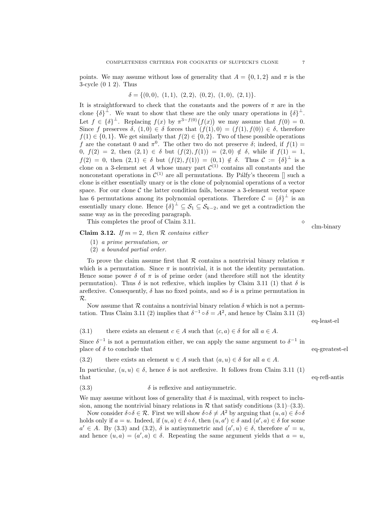points. We may assume without loss of generality that  $A = \{0, 1, 2\}$  and  $\pi$  is the 3-cycle (0 1 2). Thus

$$
\delta = \{ (0,0), (1,1), (2,2), (0,2), (1,0), (2,1) \}.
$$

It is straightforward to check that the constants and the powers of  $\pi$  are in the clone  $\{\delta\}^{\perp}$ . We want to show that these are the only unary operations in  $\{\delta\}^{\perp}$ . Let  $f \in {\delta}^{\perp}$ . Replacing  $f(x)$  by  $\pi^{3-f(0)}(f(x))$  we may assume that  $f(0) = 0$ . Since f preserves  $\delta$ ,  $(1,0) \in \delta$  forces that  $(f(1), 0) = (f(1), f(0)) \in \delta$ , therefore  $f(1) \in \{0, 1\}$ . We get similarly that  $f(2) \in \{0, 2\}$ . Two of these possible operations f are the constant 0 and  $\pi^0$ . The other two do not preserve  $\delta$ ; indeed, if  $f(1)$  = 0,  $f(2) = 2$ , then  $(2, 1) \in \delta$  but  $(f(2), f(1)) = (2, 0) \notin \delta$ , while if  $f(1) = 1$ ,  $f(2) = 0$ , then  $(2,1) \in \delta$  but  $(f(2), f(1)) = (0,1) \notin \delta$ . Thus  $\mathcal{C} := {\delta}^{\perp}$  is a clone on a 3-element set A whose unary part  $\mathcal{C}^{(1)}$  contains all constants and the nonconstant operations in  $\mathcal{C}^{(1)}$  are all permutations. By Pálfy's theorem  $[]$  such a clone is either essentially unary or is the clone of polynomial operations of a vector space. For our clone  $C$  the latter condition fails, because a 3-element vector space has 6 permutations among its polynomial operations. Therefore  $\mathcal{C} = \{ \delta \}^{\perp}$  is an essentially unary clone. Hence  $\{\delta\}^{\perp} \subseteq \mathcal{S}_1 \subseteq \mathcal{S}_{k-2}$ , and we get a contradiction the same way as in the preceding paragraph.

This completes the proof of Claim 3.11.

Claim 3.12. If  $m = 2$ , then R contains either

- (1) a prime permutation, or
- (2) a bounded partial order.

To prove the claim assume first that R contains a nontrivial binary relation  $\pi$ which is a permutation. Since  $\pi$  is nontrivial, it is not the identity permutation. Hence some power  $\delta$  of  $\pi$  is of prime order (and therefore still not the identity permutation). Thus  $\delta$  is not reflexive, which implies by Claim 3.11 (1) that  $\delta$  is areflexive. Consequently,  $\delta$  has no fixed points, and so  $\delta$  is a prime permutation in R.

Now assume that R contains a nontrivial binary relation  $\delta$  which is not a permutation. Thus Claim 3.11 (2) implies that  $\delta^{-1} \circ \delta = A^2$ , and hence by Claim 3.11 (3)

eq-least-el

clm-binary

(3.1) there exists an element  $c \in A$  such that  $(c, a) \in \delta$  for all  $a \in A$ .

Since  $\delta^{-1}$  is not a permutation either, we can apply the same argument to  $\delta^{-1}$  in place of δ to conclude that eq-greatest-el

(3.2) there exists an element  $u \in A$  such that  $(a, u) \in \delta$  for all  $a \in A$ .

In particular,  $(u, u) \in \delta$ , hence  $\delta$  is not areflexive. It follows from Claim 3.11 (1) that eq-refl-antis

(3.3)  $\delta$  is reflexive and antisymmetric.

We may assume without loss of generality that  $\delta$  is maximal, with respect to inclusion, among the nontrivial binary relations in  $R$  that satisfy conditions (3.1)–(3.3).

Now consider  $\delta \circ \delta \in \mathcal{R}$ . First we will show  $\delta \circ \delta \neq A^2$  by arguing that  $(u, a) \in \delta \circ \delta$ holds only if  $a = u$ . Indeed, if  $(u, a) \in \delta \circ \delta$ , then  $(u, a') \in \delta$  and  $(a', a) \in \delta$  for some  $a' \in A$ . By (3.3) and (3.2),  $\delta$  is antisymmetric and  $(a', u) \in \delta$ , therefore  $a' = u$ , and hence  $(u, a) = (a', a) \in \delta$ . Repeating the same argument yields that  $a = u$ ,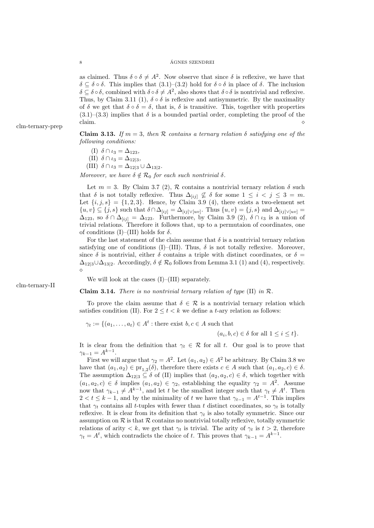as claimed. Thus  $\delta \circ \delta \neq A^2$ . Now observe that since  $\delta$  is reflexive, we have that  $\delta \subseteq \delta \circ \delta$ . This implies that  $(3.1)$ – $(3.2)$  hold for  $\delta \circ \delta$  in place of  $\delta$ . The inclusion  $\delta \subseteq \delta \circ \delta$ , combined with  $\delta \circ \delta \neq A^2$ , also shows that  $\delta \circ \delta$  is nontrivial and reflexive. Thus, by Claim 3.11 (1),  $\delta \circ \delta$  is reflexive and antisymmetric. By the maximality of  $\delta$  we get that  $\delta \circ \delta = \delta$ , that is,  $\delta$  is transitive. This, together with properties  $(3.1)$ – $(3.3)$  implies that  $\delta$  is a bounded partial order, completing the proof of the claim.  $\circ$ 

**Claim 3.13.** If  $m = 3$ , then R contains a ternary relation  $\delta$  satisfying one of the following conditions:

(I)  $\delta \cap \iota_3 = \Delta_{123}$ ,

(II)  $\delta \cap \iota_3 = \Delta_{12|3}$ , (III)  $\delta \cap \iota_3 = \Delta_{12|3} \cup \Delta_{13|2}$ .

Moreover, we have  $\delta \notin \mathcal{R}_0$  for each such nontrivial  $\delta$ .

Let  $m = 3$ . By Claim 3.7 (2), R contains a nontrivial ternary relation  $\delta$  such that  $\delta$  is not totally reflexive. Thus  $\Delta_{[ij]} \nsubseteq \delta$  for some  $1 \leq i \leq j \leq 3 = m$ . Let  $\{i, j, s\} = \{1, 2, 3\}$ . Hence, by Claim 3.9 (4), there exists a two-element set  $\{u, v\} \subseteq \{j, s\}$  such that  $\delta \cap \Delta_{[ij]} = \Delta_{[ij] \vee [uv]}$ . Thus  $\{u, v\} = \{j, s\}$  and  $\Delta_{[ij] \vee [uv]} =$  $\Delta_{123}$ , so  $\delta \cap \Delta_{[ij]} = \Delta_{123}$ . Furthermore, by Claim 3.9 (2),  $\delta \cap \iota_3$  is a union of trivial relations. Therefore it follows that, up to a permutaion of coordinates, one of conditions (I)–(III) holds for  $\delta$ .

For the last statement of the claim assume that  $\delta$  is a nontrivial ternary relation satisfying one of conditions (I)–(III). Thus,  $\delta$  is not totally reflexive. Moreover, since  $\delta$  is nontrivial, either  $\delta$  contains a triple with distinct coordinates, or  $\delta =$  $\Delta_{12|3}\cup\Delta_{13|2}$ . Accordingly,  $\delta \notin \mathcal{R}_0$  follows from Lemma 3.1 (1) and (4), respectively.  $\Diamond$ 

We will look at the cases  $(I)$ – $(III)$  separately.

**Claim 3.14.** There is no nontrivial ternary relation of type  $(II)$  in  $\mathcal{R}$ .

To prove the claim assume that  $\delta \in \mathcal{R}$  is a nontrivial ternary relation which satisfies condition (II). For  $2 \le t < k$  we define a t-ary relation as follows:

 $\gamma_t := \{(a_1, \ldots, a_t) \in A^t : \text{there exist } b, c \in A \text{ such that }\}$ 

 $(a_i, b, c) \in \delta$  for all  $1 \leq i \leq t$ .

It is clear from the definition that  $\gamma_t \in \mathcal{R}$  for all t. Our goal is to prove that  $\gamma_{k-1} = A^{k-1}.$ 

First we will argue that  $\gamma_2 = A^2$ . Let  $(a_1, a_2) \in A^2$  be arbitrary. By Claim 3.8 we have that  $(a_1, a_2) \in \text{pr}_{1,2}(\delta)$ , therefore there exists  $c \in A$  such that  $(a_1, a_2, c) \in \delta$ . The assumption  $\Delta_{12|3} \subseteq \delta$  of (II) implies that  $(a_2, a_2, c) \in \delta$ , which together with  $(a_1, a_2, c) \in \delta$  implies  $(a_1, a_2) \in \gamma_2$ , establishing the equality  $\gamma_2 = A^2$ . Assume now that  $\gamma_{k-1} \neq A^{k-1}$ , and let t be the smallest integer such that  $\gamma_t \neq A^t$ . Then  $2 < t \leq k-1$ , and by the minimality of t we have that  $\gamma_{t-1} = A^{t-1}$ . This implies that  $\gamma_t$  contains all t-tuples with fewer than t distinct coordinates, so  $\gamma_t$  is totally reflexive. It is clear from its definition that  $\gamma_t$  is also totally symmetric. Since our assumption on  $R$  is that  $R$  contains no nontrivial totally reflexive, totally symmetric relations of arity  $\langle k, w \rangle$  get that  $\gamma_t$  is trivial. The arity of  $\gamma_t$  is  $t > 2$ , therefore  $\gamma_t = A^t$ , which contradicts the choice of t. This proves that  $\gamma_{k-1} = A^{k-1}$ .

clm-ternary-prep

clm-ternary-II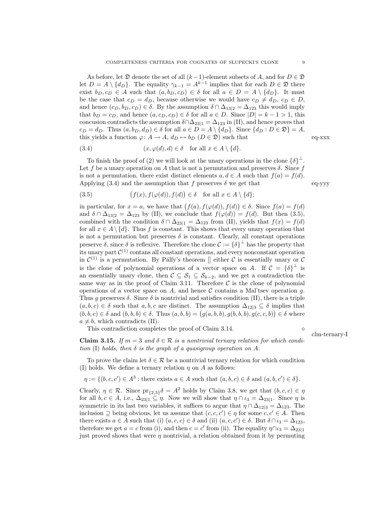As before, let  $\mathfrak D$  denote the set of all  $(k-1)$ -element subsets of A, and for  $D \in \mathfrak D$ let  $D = A \setminus \{d_D\}$ . The equality  $\gamma_{k-1} = A^{k-1}$  implies that for each  $D \in \mathfrak{D}$  there exist  $b_D, c_D \in A$  such that  $(a, b_D, c_D) \in \delta$  for all  $a \in D = A \setminus \{d_D\}$ . It must be the case that  $c_D = d_D$ , because otherwise we would have  $c_D \neq d_D$ ,  $c_D \in D$ , and hence  $(c_D, b_D, c_D) \in \delta$ . By the assumption  $\delta \cap \Delta_{13|2} = \Delta_{123}$  this would imply that  $b_D = c_D$ , and hence  $(a, c_D, c_D) \in \delta$  for all  $a \in D$ . Since  $|D| = k - 1 > 1$ , this concusion contradicts the assumption  $\delta \cap \Delta_{23|1} = \Delta_{123}$  in (II), and hence proves that  $c_D = d_D$ . Thus  $(a, b_D, d_D) \in \delta$  for all  $a \in D = A \setminus \{d_D\}$ . Since  $\{d_D : D \in \mathfrak{D}\} = A$ , this yields a function  $\varphi: A \to A$ ,  $d_D \mapsto b_D$   $(D \in \mathfrak{D})$  such that eq-xxx

(3.4) 
$$
(x, \varphi(d), d) \in \delta
$$
 for all  $x \in A \setminus \{d\}.$ 

To finish the proof of (2) we will look at the unary operations in the clone  $\{\delta\}^{\perp}$ . Let f be a unary operation on A that is not a permutation and preserves  $\delta$ . Since f is not a permutation, there exist distinct elements  $a, d \in A$  such that  $f(a) = f(d)$ . Applying (3.4) and the assumption that f preserves  $\delta$  we get that eq-yyy

(3.5) 
$$
(f(x), f(\varphi(d)), f(d)) \in \delta \text{ for all } x \in A \setminus \{d\};
$$

in particular, for  $x = a$ , we have that  $(f(a), f(\varphi(d)), f(d)) \in \delta$ . Since  $f(a) = f(d)$ and  $\delta \cap \Delta_{13|2} = \Delta_{123}$  by (II), we conclude that  $f(\varphi(d)) = f(d)$ . But then (3.5), combined with the condition  $\delta \cap \Delta_{23|1} = \Delta_{123}$  from (II), yields that  $f(x) = f(d)$ for all  $x \in A \setminus \{d\}$ . Thus f is constant. This shows that every unary operation that is not a permutation but preserves  $\delta$  is constant. Clearly, all constant operations preserve  $\delta$ , since  $\delta$  is reflexive. Therefore the clone  $\mathcal{C} := {\delta}^{\perp}$  has the property that its unary part  $\mathcal{C}^{(1)}$  contans all constant operations, and every nonconstant operation in  $\mathcal{C}^{(1)}$  is a permutation. By Pálfy's theorem  $\parallel$  either  $\mathcal C$  is essentially unary or  $\mathcal C$ is the clone of polynomial operations of a vector space on A. If  $\mathcal{C} = {\delta}^{\perp}$  is an essentially unary clone, then  $C \subseteq S_1 \subseteq S_{k-2}$ , and we get a contradiction the same way as in the proof of Claim 3.11. Therefore  $\mathcal C$  is the clone of polynomial operations of a vector space on  $A$ , and hence  $C$  contains a Mal'tsev operation  $g$ . Thus g preserves  $\delta$ . Since  $\delta$  is nontrivial and satisfies condition (II), there is a triple  $(a, b, c) \in \delta$  such that  $a, b, c$  are distinct. The assumption  $\Delta_{12|3} \subseteq \delta$  implies that  $(b, b, c) \in \delta$  and  $(b, b, b) \in \delta$ . Thus  $(a, b, b) = (g(a, b, b), g(b, b, b), g(c, c, b)) \in \delta$  where  $a \neq b$ , which contradicts (II).

This contradiction completes the proof of Claim 3.14.

**Claim 3.15.** If  $m = 3$  and  $\delta \in \mathcal{R}$  is a nontrivial ternary relation for which condition (I) holds, then  $\delta$  is the graph of a quasigroup operation on A.

To prove the claim let  $\delta \in \mathcal{R}$  be a nontrivial ternary relation for which condition (I) holds. We define a ternary relation  $\eta$  on  $A$  as follows:

$$
\eta := \{ (b, c, c') \in A^3 : \text{there exists } a \in A \text{ such that } (a, b, c) \in \delta \text{ and } (a, b, c') \in \delta \}.
$$

Clearly,  $\eta \in \mathcal{R}$ . Since  $\text{pr}_{\{2,3\}}\delta = A^2$  holds by Claim 3.8, we get that  $(b, c, c) \in \eta$ for all  $b, c \in A$ , i.e.,  $\Delta_{23|1} \subseteq \eta$ . Now we will show that  $\eta \cap \iota_3 = \Delta_{23|1}$ . Since  $\eta$  is symmetric in its last two variables, it suffices to argue that  $\eta \cap \Delta_{12|3} = \Delta_{123}$ . The inclusion  $\supseteq$  being obvious, let us assume that  $(c, c, c') \in \eta$  for some  $c, c' \in A$ . Then there exists  $a \in A$  such that (i)  $(a, c, c) \in \delta$  and (ii)  $(a, c, c') \in \delta$ . But  $\delta \cap \iota_3 = \Delta_{123}$ , therefore we get  $a = c$  from (i), and then  $c = c'$  from (ii). The equality  $\eta \cap u_3 = \Delta_{23|1}$ just proved shows that were  $\eta$  nontrivial, a relation obtained from it by permuting

clm-ternary-I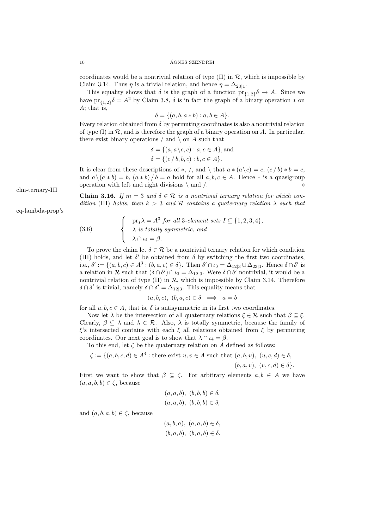coordinates would be a nontrivial relation of type  $(II)$  in  $\mathcal{R}$ , which is impossible by Claim 3.14. Thus  $\eta$  is a trivial relation, and hence  $\eta = \Delta_{23|1}$ .

This equality shows that  $\delta$  is the graph of a function  $pr_{\{1,2\}}\delta \to A$ . Since we have  $\mathrm{pr}_{\{1,2\}}\delta = A^2$  by Claim 3.8,  $\delta$  is in fact the graph of a binary operation  $*$  on A; that is,

 $\delta = \{(a, b, a * b) : a, b \in A\}.$ 

Every relation obtained from  $\delta$  by permuting coordinates is also a nontrivial relation of type  $(I)$  in  $\mathcal R$ , and is therefore the graph of a binary operation on A. In particular, there exist binary operations  $/$  and  $\setminus$  on  $A$  such that

$$
\delta = \{(a, a \backslash c, c) : a, c \in A\}, \text{and}
$$

$$
\delta = \{(c/b, b, c) : b, c \in A\}.
$$

It is clear from these descriptions of \*, /, and \ that  $a * (a \ c) = c$ ,  $(c / b) * b = c$ , and  $a \ (a * b) = b$ ,  $(a * b) / b = a$  hold for all  $a, b, c \in A$ . Hence  $*$  is a quasigroup operation with left and right divisions  $\setminus$  and  $\angle$ .

**Claim 3.16.** If  $m = 3$  and  $\delta \in \mathcal{R}$  is a nontrivial ternary relation for which condition (III) holds, then  $k > 3$  and R contains a quaternary relation  $\lambda$  such that

(3.6) 
$$
\begin{cases} \text{pr}_I \lambda = A^3 \text{ for all 3-element sets } I \subseteq \{1, 2, 3, 4\}, \\ \lambda \text{ is totally symmetric, and} \\ \lambda \cap \iota_4 = \beta. \end{cases}
$$

To prove the claim let  $\delta \in \mathcal{R}$  be a nontrivial ternary relation for which condition (III) holds, and let  $\delta'$  be obtained from  $\delta$  by switching the first two coordinates, i.e.,  $\delta' := \{(a, b, c) \in A^3 : (b, a, c) \in \delta\}$ . Then  $\delta' \cap \iota_3 = \Delta_{12|3} \cup \Delta_{23|1}$ . Hence  $\delta \cap \delta'$  is a relation in R such that  $(\delta \cap \delta') \cap \iota_3 = \Delta_{12|3}$ . Were  $\delta \cap \delta'$  nontrivial, it would be a nontrivial relation of type  $(II)$  in  $R$ , which is impossible by Claim 3.14. Therefore  $\delta \cap \delta'$  is trivial, namely  $\delta \cap \delta' = \Delta_{12|3}$ . This equality means that

$$
(a, b, c), (b, a, c) \in \delta \implies a = b
$$

for all  $a, b, c \in A$ , that is,  $\delta$  is antisymmetric in its first two coordinates.

Now let  $\lambda$  be the intersection of all quaternary relations  $\xi \in \mathcal{R}$  such that  $\beta \subseteq \xi$ . Clearly,  $\beta \subseteq \lambda$  and  $\lambda \in \mathcal{R}$ . Also,  $\lambda$  is totally symmetric, because the family of ξ's intersected contains with each ξ all relations obtained from ξ by permuting coordinates. Our next goal is to show that  $\lambda \cap \iota_4 = \beta$ .

To this end, let  $\zeta$  be the quaternary relation on A defined as follows:

 $\zeta := \{(a, b, c, d) \in A^4 : \text{there exist } u, v \in A \text{ such that } (a, b, u), (u, c, d) \in \delta,$  $(b, a, v), (v, c, d) \in \delta$ .

First we want to show that  $\beta \subseteq \zeta$ . For arbitrary elements  $a, b \in A$  we have  $(a, a, b, b) \in \zeta$ , because

$$
(a, a, b), (b, b, b) \in \delta,
$$
  

$$
(a, a, b), (b, b, b) \in \delta,
$$

and  $(a, b, a, b) \in \zeta$ , because

$$
(a, b, a), (a, a, b) \in \delta,
$$
  

$$
(b, a, b), (b, a, b) \in \delta.
$$

clm-ternary-III

eq-lambda-prop's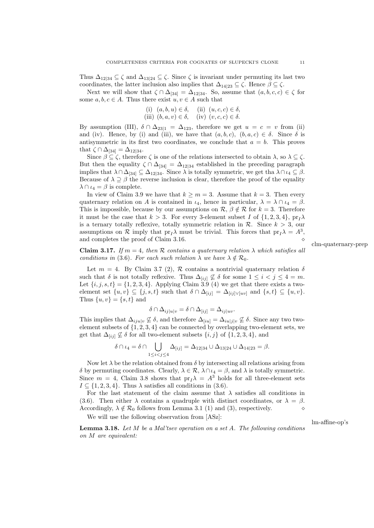Thus  $\Delta_{12|34} \subseteq \zeta$  and  $\Delta_{13|24} \subseteq \zeta$ . Since  $\zeta$  is invariant under permuting its last two coordinates, the latter inclusion also implies that  $\Delta_{14|23} \subseteq \zeta$ . Hence  $\beta \subseteq \zeta$ .

Next we will show that  $\zeta \cap \Delta_{[34]} = \Delta_{12|34}$ . So, assume that  $(a, b, c, c) \in \zeta$  for some  $a, b, c \in A$ . Thus there exist  $u, v \in A$  such that

(i) 
$$
(a, b, u) \in \delta
$$
, (ii)  $(u, c, c) \in \delta$ ,  
(iii)  $(b, a, v) \in \delta$ , (iv)  $(v, c, c) \in \delta$ .

By assumption (III),  $\delta \cap \Delta_{23|1} = \Delta_{123}$ , therefore we get  $u = c = v$  from (ii) and (iv). Hence, by (i) and (iii), we have that  $(a, b, c)$ ,  $(b, a, c) \in \delta$ . Since  $\delta$  is antisymmetric in its first two coordinates, we conclude that  $a = b$ . This proves that  $\zeta \cap \Delta_{[34]} = \Delta_{12|34}$ .

Since  $\beta \subseteq \zeta$ , therefore  $\zeta$  is one of the relations intersected to obtain  $\lambda$ , so  $\lambda \subseteq \zeta$ . But then the equality  $\zeta \cap \Delta_{[34]} = \Delta_{12|34}$  established in the preceding paragraph implies that  $\lambda \cap \Delta_{[34]} \subseteq \Delta_{12|34}$ . Since  $\lambda$  is totally symmetric, we get tha  $\lambda \cap \iota_4 \subseteq \beta$ . Because of  $\lambda \supseteq \beta$  the reverse inclusion is clear, therefore the proof of the equality  $\lambda \cap \iota_4 = \beta$  is complete.

In view of Claim 3.9 we have that  $k \geq m = 3$ . Assume that  $k = 3$ . Then every quaternary relation on A is contained in  $\iota_4$ , hence in particular,  $\lambda = \lambda \cap \iota_4 = \beta$ . This is impossible, because by our assumptions on  $\mathcal{R}, \beta \notin \mathcal{R}$  for  $k = 3$ . Therefore it must be the case that  $k > 3$ . For every 3-element subset I of  $\{1, 2, 3, 4\}$ , pr<sub>I</sub> $\lambda$ is a ternary totally reflexive, totally symmetric relation in  $\mathcal{R}$ . Since  $k > 3$ , our assumptions on  $\mathcal R$  imply that  $pr_I\lambda$  must be trivial. This forces that  $pr_I\lambda = A^3$ , and completes the proof of Claim 3.16.

clm-quaternary-prep

Claim 3.17. If  $m = 4$ , then R contains a quaternary relation  $\lambda$  which satisfies all conditions in (3.6). For each such relation  $\lambda$  we have  $\lambda \notin \mathcal{R}_0$ .

Let  $m = 4$ . By Claim 3.7 (2), R contains a nontrivial quaternary relation  $\delta$ such that  $\delta$  is not totally reflexive. Thus  $\Delta_{[ij]} \nsubseteq \delta$  for some  $1 \leq i < j \leq 4 = m$ . Let  $\{i, j, s, t\} = \{1, 2, 3, 4\}$ . Applying Claim 3.9 (4) we get that there exists a twoelement set  $\{u, v\} \subseteq \{j, s, t\}$  such that  $\delta \cap \Delta_{[ij]} = \Delta_{[ij] \vee [uv]}$  and  $\{s, t\} \subseteq \{u, v\}.$ Thus  $\{u, v\} = \{s, t\}$  and

$$
\delta \cap \Delta_{ij|u|v} = \delta \cap \Delta_{[ij]} = \Delta_{ij|uv}.
$$

This implies that  $\Delta_{iju|v} \not\subseteq \delta$ , and therefore  $\Delta_{[iu]} = \Delta_{iu|j|v} \not\subseteq \delta$ . Since any two twoelement subsets of  $\{1, 2, 3, 4\}$  can be connected by overlapping two-element sets, we get that  $\Delta_{[ij]} \nsubseteq \delta$  for all two-element subsets  $\{i, j\}$  of  $\{1, 2, 3, 4\}$ , and

$$
\delta \cap \iota_4 = \delta \cap \bigcup_{1 \leq i < j \leq 4} \Delta_{[ij]} = \Delta_{12|34} \cup \Delta_{13|24} \cup \Delta_{14|23} = \beta.
$$

Now let  $\lambda$  be the relation obtained from  $\delta$  by intersecting all relations arising from δ by permuting coordinates. Clearly,  $\lambda \in \mathcal{R}$ ,  $\lambda \cap \iota_4 = \beta$ , and  $\lambda$  is totally symmetric. Since  $m = 4$ , Claim 3.8 shows that  $pr_1\lambda = A^3$  holds for all three-element sets  $I \subseteq \{1, 2, 3, 4\}$ . Thus  $\lambda$  satisfies all conditions in (3.6).

For the last statement of the claim assume that  $\lambda$  satisfies all conditions in (3.6). Then either  $\lambda$  contains a quadruple with distinct coordinates, or  $\lambda = \beta$ . Accordingly,  $\lambda \notin \mathcal{R}_0$  follows from Lemma 3.1 (1) and (3), respectively.

We will use the following observation from [ASz]:

lm-affine-op's

**Lemma 3.18.** Let  $M$  be a Mal'tsev operation on a set  $A$ . The following conditions on M are equivalent: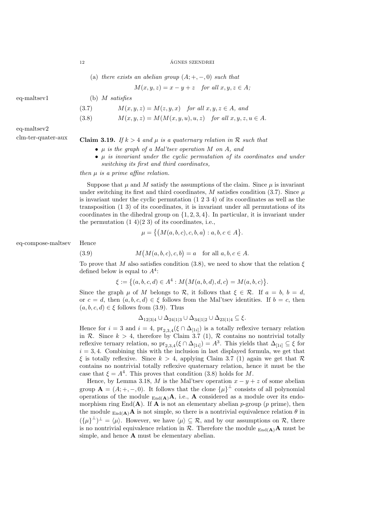(a) there exists an abelian group  $(A; +, -, 0)$  such that

$$
M(x, y, z) = x - y + z \quad for all x, y, z \in A;
$$

eq-maltsev1 (b) M satisfies

- (3.7)  $M(x, y, z) = M(z, y, x)$  for all  $x, y, z \in A$ , and
- (3.8)  $M(x, y, z) = M(M(x, y, u), u, z)$  for all  $x, y, z, u \in A$ .

eq-maltsev2

- clm-ter-quater-aux Claim 3.19. If  $k > 4$  and  $\mu$  is a quaternary relation in R such that
	- µ is the graph of a Mal'tsev operation M on A, and
	- $\bullet$   $\mu$  is invariant under the cyclic permutation of its coordinates and under switching its first and third coordinates,

then µ is a prime affine relation.

Suppose that  $\mu$  and M satisfy the assumptions of the claim. Since  $\mu$  is invariant under switching its first and third coordinates, M satisfies condition (3.7). Since  $\mu$ is invariant under the cyclic permutation (1 2 3 4) of its coordinates as well as the transposition (1 3) of its coordinates, it is invariant under all permutations of its coordinates in the dihedral group on  $\{1, 2, 3, 4\}$ . In particular, it is invariant under the permutation  $(1\ 4)(2\ 3)$  of its coordinates, i.e.,

$$
\mu = \{ (M(a, b, c), c, b, a) : a, b, c \in A \}.
$$

eq-compose-maltsev Hence

 $(3.9)$ 

$$
M(M(a,b,c),c,b) = a \text{ for all } a,b,c \in A.
$$

To prove that M also satisfies condition (3.8), we need to show that the relation  $\xi$ defined below is equal to  $A<sup>4</sup>$ :

$$
\xi := \big\{(a,b,c,d) \in A^4 : M(M(a,b,d),d,c) = M(a,b,c)\big\}.
$$

Since the graph  $\mu$  of M belongs to R, it follows that  $\xi \in \mathcal{R}$ . If  $a = b$ ,  $b = d$ , or  $c = d$ , then  $(a, b, c, d) \in \xi$  follows from the Mal'tsev identities. If  $b = c$ , then  $(a, b, c, d) \in \xi$  follows from (3.9). Thus

$$
\Delta_{12|3|4} \cup \Delta_{24|1|3} \cup \Delta_{34|1|2} \cup \Delta_{23|1|4} \subseteq \xi.
$$

Hence for  $i = 3$  and  $i = 4$ ,  $\text{pr}_{2,3,4}(\xi \cap \Delta_{[1i]})$  is a totally reflexive ternary relation in R. Since  $k > 4$ , therefore by Claim 3.7 (1), R contains no nontrivial totally reflexive ternary relation, so  $\mathrm{pr}_{2,3,4}(\xi \cap \Delta_{[1i]}) = A^3$ . This yields that  $\Delta_{[1i]} \subseteq \xi$  for  $i = 3, 4$ . Combining this with the inclusion in last displayed formula, we get that  $\xi$  is totally reflexive. Since  $k > 4$ , applying Claim 3.7 (1) again we get that R contains no nontrivial totally reflexive quaternary relation, hence it must be the case that  $\xi = A^4$ . This proves that condition (3.8) holds for M.

Hence, by Lemma 3.18, M is the Mal'tsev operation  $x - y + z$  of some abelian group  $\mathbf{A} = (A; +, -, 0)$ . It follows that the clone  $\{\mu\}^{\perp}$  consists of all polynomial operations of the module  $_{\text{End}(A)}A$ , i.e., A considered as a module over its endomorphism ring End( $\bf{A}$ ). If  $\bf{A}$  is not an elementary abelian p-group (p prime), then the module  $_{\text{End}(A)}A$  is not simple, so there is a nontrivial equivalence relation  $\theta$  in  $({\{\mu\}}^{\perp})^{\perp} = {\langle\mu\rangle}$ . However, we have  $\langle\mu\rangle \subseteq \mathcal{R}$ , and by our assumptions on  $\mathcal{R}$ , there is no nontrivial equivalence relation in  $\mathcal{R}$ . Therefore the module  $_{\text{End}(A)}$ A must be simple, and hence A must be elementary abelian.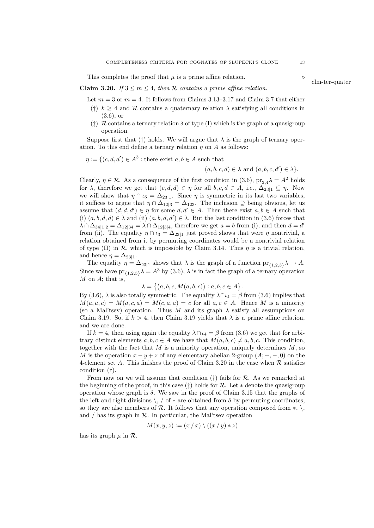This completes the proof that  $\mu$  is a prime affine relation.

Claim 3.20. If  $3 \le m \le 4$ , then R contains a prime affine relation.

Let  $m = 3$  or  $m = 4$ . It follows from Claims 3.13–3.17 and Claim 3.7 that either

- (†)  $k \geq 4$  and R contains a quaternary relation  $\lambda$  satisfying all conditions in  $(3.6)$ , or
- ( $\ddagger$ ) R contains a ternary relation  $\delta$  of type (I) which is the graph of a quasigroup operation.

Suppose first that (†) holds. We will argue that  $\lambda$  is the graph of ternary operation. To this end define a ternary relation  $\eta$  on A as follows:

$$
\eta := \{ (c, d, d') \in A^3 : \text{there exist } a, b \in A \text{ such that }
$$

 $(a, b, c, d) \in \lambda$  and  $(a, b, c, d') \in \lambda$ .

Clearly,  $\eta \in \mathcal{R}$ . As a consequence of the first condition in (3.6),  $pr_{3,4}\lambda = A^2$  holds for  $\lambda$ , therefore we get that  $(c, d, d) \in \eta$  for all  $b, c, d \in A$ , i.e.,  $\Delta_{23|1} \subseteq \eta$ . Now we will show that  $\eta \cap \iota_3 = \Delta_{23|1}$ . Since  $\eta$  is symmetric in its last two variables, it suffices to argue that  $\eta \cap \Delta_{12|3} = \Delta_{123}$ . The inclusion  $\supseteq$  being obvious, let us assume that  $(d, d, d') \in \eta$  for some  $d, d' \in A$ . Then there exist  $a, b \in A$  such that (i)  $(a, b, d, d) \in \lambda$  and (ii)  $(a, b, d, d') \in \lambda$ . But the last condition in (3.6) forces that  $\lambda \cap \Delta_{34|1|2} = \Delta_{12|34} = \lambda \cap \Delta_{12|3|4}$ , therefore we get  $a = b$  from (i), and then  $d = d'$ from (ii). The equality  $\eta \cap \iota_3 = \Delta_{23|1}$  just proved shows that were  $\eta$  nontrivial, a relation obtained from it by permuting coordinates would be a nontrivial relation of type (II) in  $\mathcal{R}$ , which is impossible by Claim 3.14. Thus  $\eta$  is a trivial relation, and hence  $\eta = \Delta_{23|1}$ .

The equality  $\eta = \Delta_{23|1}$  shows that  $\lambda$  is the graph of a function  $\text{pr}_{\{1,2,3\}}\lambda \to A$ . Since we have  $\mathrm{pr}_{\{1,2,3\}}\lambda = A^3$  by (3.6),  $\lambda$  is in fact the graph of a ternary operation  $M$  on  $A$ ; that is,

$$
\lambda = \{(a,b,c,M(a,b,c)) : a,b,c \in A\}.
$$

By (3.6),  $\lambda$  is also totally symmetric. The equality  $\lambda \cap u_4 = \beta$  from (3.6) implies that  $M(a, a, c) = M(a, c, a) = M(c, a, a) = c$  for all  $a, c \in A$ . Hence M is a minority (so a Mal'tsev) operation. Thus M and its graph  $\lambda$  satisfy all assumptions on Claim 3.19. So, if  $k > 4$ , then Claim 3.19 yields that  $\lambda$  is a prime affine relation, and we are done.

If  $k = 4$ , then using again the equality  $\lambda \cap u_4 = \beta$  from (3.6) we get that for arbitrary distinct elements  $a, b, c \in A$  we have that  $M(a, b, c) \neq a, b, c$ . This condition, together with the fact that  $M$  is a minority operation, uniquely determines  $M$ , so M is the operation  $x - y + z$  of any elementary abelian 2-group  $(A; +, -, 0)$  on the 4-element set A. This finishes the proof of Claim 3.20 in the case when  $\mathcal R$  satisfies condition (†).

From now on we will assume that condition  $(t)$  fails for R. As we remarked at the beginning of the proof, in this case  $(\ddagger)$  holds for  $\mathcal{R}$ . Let  $*$  denote the quasigroup operation whose graph is  $\delta$ . We saw in the proof of Claim 3.15 that the graphs of the left and right divisions  $\backslash$ , / of  $*$  are obtained from  $\delta$  by permuting coordinates, so they are also members of R. It follows that any operation composed from  $*, \backslash$ , and  $\ell$  has its graph in  $\mathcal{R}$ . In particular, the Mal'tsev operation

$$
M(x, y, z) := (x / x) \setminus ((x / y) * z)
$$

has its graph  $\mu$  in  $\mathcal{R}$ .

clm-ter-quater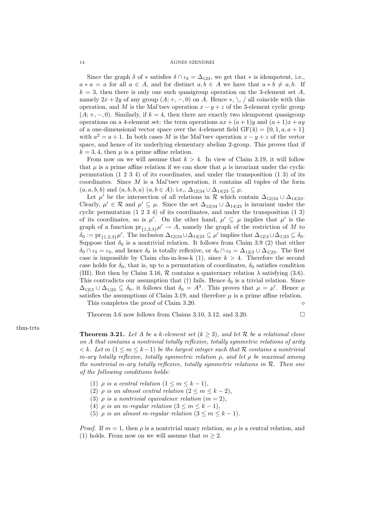Since the graph  $\delta$  of  $*$  satisfies  $\delta \cap \iota_3 = \Delta_{123}$ , we get that  $*$  is idempotent, i.e.,  $a * a = a$  for all  $a \in A$ , and for distinct  $a, b \in A$  we have that  $a * b \neq a, b$ . If  $k = 3$ , then there is only one such quasigroup operation on the 3-element set A, namely  $2x + 2y$  of any group  $(A; +, -, 0)$  on A. Hence \*, \, \, all coincide with this operation, and M is the Mal'tsev operation  $x - y + z$  of the 3-element cyclic group  $(A; +, -, 0)$ . Similarly, if  $k = 4$ , then there are exactly two idempotent quasigroup operations on a 4-element set: the term operations  $ax + (a+1)y$  and  $(a+1)x + ay$ of a one-dimensional vector space over the 4-element field  $GF(4) = \{0, 1, a, a + 1\}$ with  $a^2 = a + 1$ . In both cases M is the Mal'tsev operation  $x - y + z$  of the vertor space, and hence of its underlying elementary abelian 2-group. This proves that if  $k = 3, 4$ , then  $\mu$  is a prime affine relation.

From now on we will assume that  $k > 4$ . In view of Claim 3.19, it will follow that  $\mu$  is a prime affine relation if we can show that  $\mu$  is invariant under the cyclic permutation (1 2 3 4) of its coordinates, and under the transposition (1 3) of its coordinates. Since  $M$  is a Mal'tsev operation, it contains all tuples of the form  $(a, a, b, b)$  and  $(a, b, b, a)$   $(a, b \in A)$ ; i.e.,  $\Delta_{12|34} \cup \Delta_{14|23} \subseteq \mu$ .

Let  $\mu'$  be the intersection of all relations in R which contain  $\Delta_{12|34} \cup \Delta_{14|23}$ . Clearly,  $\mu' \in \mathcal{R}$  and  $\mu' \subseteq \mu$ . Since the set  $\Delta_{12|34} \cup \Delta_{14|23}$  is invariant under the cyclic permutation (1 2 3 4) of its coordinates, and under the transposition (1 3) of its coordinates, so is  $\mu'$ . On the other hand,  $\mu' \subseteq \mu$  implies that  $\mu'$  is the graph of a function  $pr_{\{1,2,3\}}\mu' \to A$ , namely the graph of the restriction of M to  $\delta_0 := \mathrm{pr}_{\{1,2,3\}}\mu'.$  The inclusion  $\Delta_{12|34} \cup \Delta_{14|23} \subseteq \mu'$  implies that  $\Delta_{12|3} \cup \Delta_{1|23} \subseteq \delta_0.$ Suppose that  $\delta_0$  is a nontrivial relation. It follows from Claim 3.9 (2) that either  $\delta_0 \cap \iota_3 = \iota_3$ , and hence  $\delta_0$  is totally reflexive, or  $\delta_0 \cap \iota_3 = \Delta_{12|3} \cup \Delta_{1|23}$ . The first case is impossible by Claim clm-m-less-k  $(1)$ , since  $k > 4$ . Therefore the second case holds for  $\delta_0$ , that is, up to a permutation of coordinates,  $\delta_0$  satisfies condition (III). But then by Claim 3.16,  $R$  contains a quaternary relation  $\lambda$  satisfying (3.6). This contradicts our assumption that (†) fails. Hence  $\delta_0$  is a trivial relation. Since  $\Delta_{12|3} \cup \Delta_{1|23} \subseteq \delta_0$ , it follows that  $\delta_0 = A^3$ . This proves that  $\mu = \mu'$ . Hence  $\mu$ satisfies the assumptions of Claim 3.19, and therefore  $\mu$  is a prime affine relation. This completes the proof of Claim 3.20.

Theorem 3.6 now follows from Claims 3.10, 3.12, and 3.20.  $\Box$ 

### thm-trts

**Theorem 3.21.** Let A be a k-element set  $(k > 3)$ , and let R be a relational clone on A that contains a nontrivial totally reflexive, totally symmetric relations of arity  $\langle k. \text{Let } m \ (1 \leq m \leq k-1) \text{ be the largest integer such that } R \text{ contains a nontrivial}$ m-ary totally reflexive, totally symmetric relation  $\rho$ , and let  $\rho$  be maximal among the nontrivial m-ary totally reflexive, totally symmetric relations in  $\mathcal{R}$ . Then one of the following conditions holds:

- (1)  $\rho$  is a central relation  $(1 \leq m \leq k-1)$ ,
- (2)  $\rho$  is an almost central relation  $(2 \le m \le k-2)$ ,
- (3)  $\rho$  is a nontrivial equivalence relation  $(m = 2)$ ,
- (4)  $\rho$  is an m-regular relation  $(3 \le m \le k-1)$ ,
- (5)  $\rho$  is an almost m-regular relation  $(3 \le m \le k-1)$ .

*Proof.* If  $m = 1$ , then  $\rho$  is a nontrivial unary relation, so  $\rho$  is a central relation, and (1) holds. From now on we will assume that  $m \geq 2$ .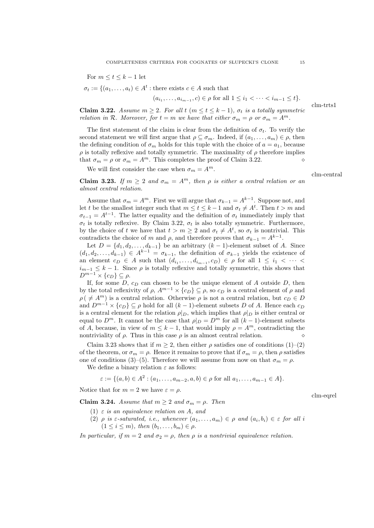For  $m \le t \le k-1$  let

 $\sigma_t := \{(a_1, \ldots, a_t) \in A^t : \text{there exists } c \in A \text{ such that }\right.$ 

$$
(a_{i_1},...,a_{i_{m-1}},c) \in \rho
$$
 for all  $1 \leq i_1 < \cdots < i_{m-1} \leq t$ .

**Claim 3.22.** Assume  $m \geq 2$ . For all  $t$  ( $m \leq t \leq k-1$ ),  $\sigma_t$  is a totally symmetric relation in R. Moreover, for  $t = m$  we have that either  $\sigma_m = \rho$  or  $\sigma_m = A^m$ .

The first statement of the claim is clear from the definition of  $\sigma_t$ . To verify the second statement we will first argue that  $\rho \subseteq \sigma_m$ . Indeed, if  $(a_1, \ldots, a_m) \in \rho$ , then the defining condition of  $\sigma_m$  holds for this tuple with the choice of  $a = a_1$ , because  $\rho$  is totally reflexive and totally symmetric. The maximality of  $\rho$  therefore implies that  $\sigma_m = \rho$  or  $\sigma_m = A^m$ . This completes the proof of Claim 3.22.

We will first consider the case when  $\sigma_m = A^m$ .

clm-central

clm-eqrel

clm-trts1

Claim 3.23. If  $m \geq 2$  and  $\sigma_m = A^m$ , then  $\rho$  is either a central relation or an almost central relation.

Assume that  $\sigma_m = A^m$ . First we will argue that  $\sigma_{k-1} = A^{k-1}$ . Suppose not, and let t be the smallest integer such that  $m \le t \le k-1$  and  $\sigma_t \neq A^t$ . Then  $t > m$  and  $\sigma_{t-1} = A^{t-1}$ . The latter equality and the definition of  $\sigma_t$  immediately imply that  $\sigma_t$  is totally reflexive. By Claim 3.22,  $\sigma_t$  is also totally symmetric. Furthermore, by the choice of t we have that  $t > m \geq 2$  and  $\sigma_t \neq A^t$ , so  $\sigma_t$  is nontrivial. This contradicts the choice of m and  $\rho$ , and therefore proves that  $\sigma_{k-1} = A^{k-1}$ .

Let  $D = \{d_1, d_2, \ldots, d_{k-1}\}\$ be an arbitrary  $(k-1)$ -element subset of A. Since  $(d_1, d_2, \ldots, d_{k-1}) \in A^{k-1} = \sigma_{k-1}$ , the definition of  $\sigma_{k-1}$  yields the existence of an element  $c_D \in A$  such that  $(d_{i_1},...,d_{i_{m-1}},c_D) \in \rho$  for all  $1 \leq i_1 < \cdots <$  $i_{m-1} \leq k-1$ . Since  $\rho$  is totally reflexive and totally symmetric, this shows that  $D^{m-1} \times \{c_D\} \subseteq \rho.$ 

If, for some D,  $c_D$  can chosen to be the unique element of A outside D, then by the total reflexivity of  $\rho$ ,  $A^{m-1} \times \{c_D\} \subseteq \rho$ , so  $c_D$  is a central element of  $\rho$  and  $\rho$  (  $\neq$  A<sup>m</sup>) is a central relation. Otherwise  $\rho$  is not a central relation, but  $c_D \in D$ and  $D^{m-1} \times \{c_D\} \subseteq \rho$  hold for all  $(k-1)$ -element subsets D of A. Hence each  $c_D$ is a central element for the relation  $\rho|_D$ , which implies that  $\rho|_D$  is either central or equal to  $D^m$ . It cannot be the case that  $\rho|_D = D^m$  for all  $(k-1)$ -element subsets of A, because, in view of  $m \leq k-1$ , that would imply  $\rho = A^m$ , contradicting the nontriviality of  $\rho$ . Thus in this case  $\rho$  is an almost central relation.

Claim 3.23 shows that if  $m \geq 2$ , then either  $\rho$  satisfies one of conditions (1)–(2) of the theorem, or  $\sigma_m = \rho$ . Hence it remains to prove that if  $\sigma_m = \rho$ , then  $\rho$  satisfies one of conditions (3)–(5). Therefore we will assume from now on that  $\sigma_m = \rho$ .

We define a binary relation  $\varepsilon$  as follows:

$$
\varepsilon := \{ (a, b) \in A^2 : (a_1, \dots, a_{m-2}, a, b) \in \rho \text{ for all } a_1, \dots, a_{m-1} \in A \}.
$$

Notice that for  $m = 2$  we have  $\varepsilon = \rho$ .

Claim 3.24. Assume that  $m \geq 2$  and  $\sigma_m = \rho$ . Then

- (1)  $\varepsilon$  is an equivalence relation on A, and
- (2)  $\rho$  is  $\varepsilon$ -saturated, i.e., whenever  $(a_1, \ldots, a_m) \in \rho$  and  $(a_i, b_i) \in \varepsilon$  for all i  $(1 \leq i \leq m)$ , then  $(b_1, \ldots, b_m) \in \rho$ .

In particular, if  $m = 2$  and  $\sigma_2 = \rho$ , then  $\rho$  is a nontrivial equivalence relation.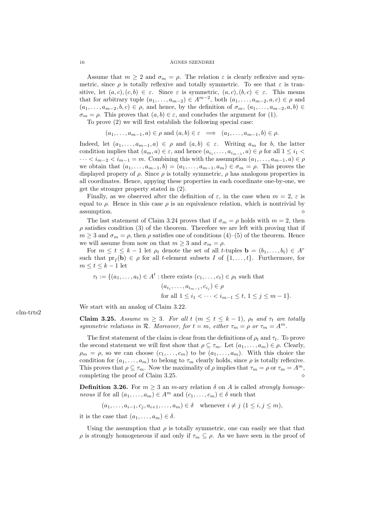Assume that  $m \geq 2$  and  $\sigma_m = \rho$ . The relation  $\varepsilon$  is clearly reflexive and symmetric, since  $\rho$  is totally reflexive and totally symmetric. To see that  $\varepsilon$  is transitive, let  $(a, c), (c, b) \in \varepsilon$ . Since  $\varepsilon$  is symmetric,  $(a, c), (b, c) \in \varepsilon$ . This means that for arbitrary tuple  $(a_1, \ldots, a_{m-2}) \in A^{m-2}$ , both  $(a_1, \ldots, a_{m-2}, a, c) \in \rho$  and  $(a_1, \ldots, a_{m-2}, b, c) \in \rho$ , and hence, by the definition of  $\sigma_m$ ,  $(a_1, \ldots, a_{m-2}, a, b) \in$  $\sigma_m = \rho$ . This proves that  $(a, b) \in \varepsilon$ , and concludes the argument for (1).

To prove (2) we will first establish the following special case:

$$
(a_1, \ldots, a_{m-1}, a) \in \rho
$$
 and  $(a, b) \in \varepsilon \implies (a_1, \ldots, a_{m-1}, b) \in \rho$ .

Indeed, let  $(a_1, \ldots, a_{m-1}, a) \in \rho$  and  $(a, b) \in \varepsilon$ . Writing  $a_m$  for b, the latter condition implies that  $(a_m, a) \in \varepsilon$ , and hence  $(a_{i_1}, \ldots, a_{i_{m-1}}, a) \in \rho$  for all  $1 \leq i_1 <$  $\cdots < i_{m-2} < i_{m-1} = m$ . Combining this with the assumption  $(a_1, \ldots, a_{m-1}, a) \in \rho$ we obtain that  $(a_1, \ldots, a_{m-1}, b) = (a_1, \ldots, a_{m-1}, a_m) \in \sigma_m = \rho$ . This proves the displayed propery of  $\rho$ . Since  $\rho$  is totally symmetric,  $\rho$  has analogous properties in all coordinates. Hence, appying these properties in each coordinate one-by-one, we get the stronger property stated in (2).

Finally, as we observed after the definition of  $\varepsilon$ , in the case when  $m = 2$ ,  $\varepsilon$  is equal to  $\rho$ . Hence in this case  $\rho$  is an equivalence relation, which is nontrivial by assumption.

The last statement of Claim 3.24 proves that if  $\sigma_m = \rho$  holds with  $m = 2$ , then  $\rho$  satisfies condition (3) of the theorem. Therefore we are left with proving that if  $m \geq 3$  and  $\sigma_m = \rho$ , then  $\rho$  satisfies one of conditions (4)–(5) of the theorem. Hence we will assume from now on that  $m \geq 3$  and  $\sigma_m = \rho$ .

For  $m \leq t \leq k-1$  let  $\rho_t$  denote the set of all t-tuples  $\mathbf{b} = (b_1, \ldots, b_t) \in A^r$ such that  $pr_I(\mathbf{b}) \in \rho$  for all t-element subsets I of  $\{1, \ldots, t\}$ . Furthermore, for  $m \leq t \leq k-1$  let

$$
\tau_t := \{(a_1, \dots, a_t) \in A^t : \text{there exists } (c_1, \dots, c_t) \in \rho_t \text{ such that}
$$

$$
(a_{i_1}, \dots, a_{i_{m-1}}, c_{i_j}) \in \rho
$$
  
for all  $1 \leq i_1 < \dots < i_{m-1} \leq t, 1 \leq j \leq m-1\}.$ 

We start with an analog of Claim 3.22.

Claim 3.25. Assume  $m \geq 3$ . For all  $t$   $(m \leq t \leq k-1)$ ,  $\rho_t$  and  $\tau_t$  are totally symmetric relations in R. Moreover, for  $t = m$ , either  $\tau_m = \rho$  or  $\tau_m = A^m$ .

The first statement of the claim is clear from the definitions of  $\rho_t$  and  $\tau_t$ . To prove the second statement we will first show that  $\rho \subseteq \tau_m$ . Let  $(a_1, \ldots, a_m) \in \rho$ . Clearly,  $\rho_m = \rho$ , so we can choose  $(c_1, \ldots, c_m)$  to be  $(a_1, \ldots, a_m)$ . With this choice the condition for  $(a_1, \ldots, a_m)$  to belong to  $\tau_m$  clearly holds, since  $\rho$  is totally reflexive. This proves that  $\rho \subseteq \tau_m$ . Now the maximality of  $\rho$  implies that  $\tau_m = \rho$  or  $\tau_m = A^m$ , completing the proof of Claim 3.25.

**Definition 3.26.** For  $m \geq 3$  an m-ary relation  $\delta$  on A is called *strongly homoge*neous if for all  $(a_1, \ldots, a_m) \in A^m$  and  $(c_1, \ldots, c_m) \in \delta$  such that

$$
(a_1, \ldots, a_{i-1}, c_j, a_{i+1}, \ldots, a_m) \in \delta \quad \text{whenever } i \neq j \ (1 \leq i, j \leq m),
$$

it is the case that  $(a_1, \ldots, a_m) \in \delta$ .

Using the assumption that  $\rho$  is totally symmetric, one can easily see that that  $ρ$  is strongly homogeneous if and only if  $τ_m ⊆ ρ$ . As we have seen in the proof of

clm-trts2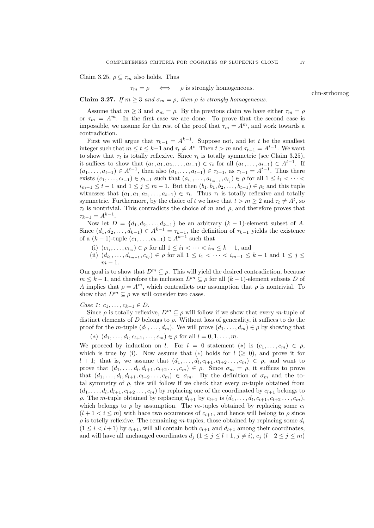Claim 3.25,  $\rho \subseteq \tau_m$  also holds. Thus

$$
\tau_m = \rho \iff \rho \text{ is strongly homogeneous.}
$$

Claim 3.27. If  $m \geq 3$  and  $\sigma_m = \rho$ , then  $\rho$  is strongly homogeneous.

Assume that  $m \geq 3$  and  $\sigma_m = \rho$ . By the previous claim we have either  $\tau_m = \rho$ or  $\tau_m = A^m$ . In the first case we are done. To prove that the second case is impossible, we assume for the rest of the proof that  $\tau_m = A^m$ , and work towards a contradiction.

First we will argue that  $\tau_{k-1} = A^{k-1}$ . Suppose not, and let t be the smallest integer such that  $m \le t \le k-1$  and  $\tau_t \neq A^t$ . Then  $t > m$  and  $\tau_{t-1} = A^{t-1}$ . We want to show that  $\tau_t$  is totally reflexive. Since  $\tau_t$  is totally symmetric (see Claim 3.25), it suffices to show that  $(a_1, a_1, a_2, \ldots, a_{t-1}) \in \tau_t$  for all  $(a_1, \ldots, a_{t-1}) \in A^{t-1}$ . If  $(a_1, \ldots, a_{t-1}) \in A^{t-1}$ , then also  $(a_1, \ldots, a_{t-1}) \in \tau_{t-1}$ , as  $\tau_{t-1} = A^{t-1}$ . Thus there exists  $(c_1, \ldots, c_{t-1}) \in \rho_{t-1}$  such that  $(a_{i_1}, \ldots, a_{i_{m-1}}, c_{i_j}) \in \rho$  for all  $1 \leq i_1 < \cdots <$  $i_{m-1} \leq t-1$  and  $1 \leq j \leq m-1$ . But then  $(b_1, b_1, b_2, \ldots, b_{t-1}) \in \rho_t$  and this tuple witnesses that  $(a_1, a_1, a_2, \ldots, a_{t-1}) \in \tau_t$ . Thus  $\tau_t$  is totally reflexive and totally symmetric. Furthermore, by the choice of t we have that  $t > m \geq 2$  and  $\tau_t \neq A^t$ , so  $\tau_t$  is nontrivial. This contradicts the choice of m and  $\rho$ , and therefore proves that  $\tau_{k-1} = A^{k-1}.$ 

Now let  $D = \{d_1, d_2, \ldots, d_{k-1}\}\$ be an arbitrary  $(k-1)$ -element subset of A. Since  $(d_1, d_2, \ldots, d_{k-1}) \in A^{k-1} = \tau_{k-1}$ , the definition of  $\tau_{k-1}$  yields the existence of a  $(k-1)$ -tuple  $(c_1, ..., c_{k-1})$  ∈  $A^{k-1}$  such that

- (i)  $(c_{i_1},...,c_{i_m}) \in \rho$  for all  $1 \leq i_1 < ... < i_m \leq k-1$ , and
- (ii)  $(d_{i_1},...,d_{i_{m-1}},c_{i_j}) \in \rho$  for all  $1 \leq i_1 < \cdots < i_{m-1} \leq k-1$  and  $1 \leq j \leq k$  $m-1$ .

Our goal is to show that  $D^m \subseteq \rho$ . This will yield the desired contradiction, because  $m \leq k-1$ , and therefore the inclusion  $D^m \subseteq \rho$  for all  $(k-1)$ -element subsets D of A implies that  $\rho = A^m$ , which contradicts our assumption that  $\rho$  is nontrivial. To show that  $D^m \subseteq \rho$  we will consider two cases.

*Case 1:*  $c_1, ..., c_{k-1}$  ∈ *D*.

Since  $\rho$  is totally reflexive,  $D^m \subseteq \rho$  will follow if we show that every m-tuple of distinct elements of D belongs to  $\rho$ . Without loss of generality, it suffices to do the proof for the m-tuple  $(d_1, \ldots, d_m)$ . We will prove  $(d_1, \ldots, d_m) \in \rho$  by showing that

 $(*) (d_1, \ldots, d_l, c_{l+1}, \ldots, c_m) \in \rho \text{ for all } l = 0, 1, \ldots, m.$ 

We proceed by induction on l. For  $l = 0$  statement  $(*)$  is  $(c_1, \ldots, c_m) \in \rho$ , which is true by (i). Now assume that  $(*)$  holds for  $l \geq 0$ , and prove it for  $l + 1$ ; that is, we assume that  $(d_1, \ldots, d_l, c_{l+1}, c_{l+2}, \ldots, c_m) \in \rho$ , and want to prove that  $(d_1, \ldots, d_l, d_{l+1}, c_{l+2}, \ldots, c_m) \in \rho$ . Since  $\sigma_m = \rho$ , it suffices to prove that  $(d_1, \ldots, d_l, d_{l+1}, c_{l+2}, \ldots, c_m) \in \sigma_m$ . By the definition of  $\sigma_m$  and the total symmetry of  $\rho$ , this will follow if we check that every m-tuple obtained from  $(d_1, \ldots, d_l, d_{l+1}, c_{l+2}, \ldots, c_m)$  by replacing one of the coordinated by  $c_{l+1}$  belongs to  $\rho$ . The m-tuple obtained by replacing  $d_{l+1}$  by  $c_{l+1}$  is  $(d_1, \ldots, d_l, c_{l+1}, c_{l+2} \ldots, c_m)$ , which belongs to  $\rho$  by assumption. The m-tuples obtained by replacing some  $c_i$  $(l+1 < i \leq m)$  with hace two occurences of  $c_{l+1}$ , and hence will belong to  $\rho$  since  $\rho$  is totelly reflexive. The remaining m-tuples, those obtained by replacing some  $d_i$  $(1 \leq i < l+1)$  by  $c_{l+1}$ , will all contain both  $c_{l+1}$  and  $d_{l+1}$  among their coordinates, and will have all unchanged coordinates  $d_j$   $(1 \leq j \leq l+1, j \neq i), c_j$   $(l+2 \leq j \leq m)$ 

clm-strhomog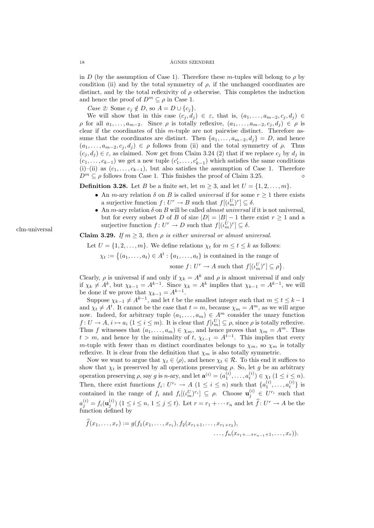in D (by the assumption of Case 1). Therefore these m-tuples will belong to  $\rho$  by condition (ii) and by the total symmetry of  $\rho$ , if the unchanged coordinates are distinct, and by the total reflexivity of  $\rho$  otherwise. This completes the induction and hence the proof of  $D^m \subseteq \rho$  in Case 1.

Case 2: Some  $c_j \notin D$ , so  $A = D \cup \{c_j\}.$ 

We will show that in this case  $(c_j, d_j) \in \varepsilon$ , that is,  $(a_1, \ldots, a_{m-2}, c_j, d_j) \in$  $\rho$  for all  $a_1, \ldots, a_{m-2}$ . Since  $\rho$  is totally reflexive,  $(a_1, \ldots, a_{m-2}, c_j, d_j) \in \rho$  is clear if the coordinates of this m-tuple are not pairwise distinct. Therefore assume that the coordinates are distinct. Then  $\{a_1, \ldots, a_{m-2}, d_i\} = D$ , and hence  $(a_1, \ldots, a_{m-2}, c_j, d_j) \in \rho$  follows from (ii) and the total symmetry of  $\rho$ . Thus  $(c_i, d_i) \in \varepsilon$ , as claimed. Now get from Claim 3.24 (2) that if we replace  $c_j$  by  $d_j$  in  $(c_1, \ldots, c_{k-1})$  we get a new tuple  $(c'_1, \ldots, c'_{k-1})$  which satisfies the same conditions (i)–(ii) as  $(c_1, \ldots, c_{k-1})$ , but also satisfies the assumption of Case 1. Therefore  $D^m \subset \rho$  follows from Case 1. This finishes the proof of Claim 3.25.

**Definition 3.28.** Let B be a finite set, let  $m > 3$ , and let  $U = \{1, 2, \ldots, m\}$ .

- An *m*-ary relation  $\delta$  on *B* is called *universal* if for some  $r \geq 1$  there exists a surjective function  $f: U^r \to B$  such that  $f[(\iota_m^U)^r] \subseteq \delta$ .
- An m-ary relation  $\delta$  on  $B$  will be called *almost universal* if it is not universal, but for every subset D of B of size  $|D| = |B| - 1$  there exist  $r \ge 1$  and a surjective function  $f: U^r \to D$  such that  $f[(\iota_m^U)^r] \subseteq \delta$ .

**Claim 3.29.** If  $m \geq 3$ , then  $\rho$  is either universal or almost universal.

Let  $U = \{1, 2, \ldots, m\}$ . We define relations  $\chi_t$  for  $m \le t \le k$  as follows:  $\chi_t := \{(a_1, \ldots, a_t) \in A^t : \{a_1, \ldots, a_t\}$  is contained in the range of

some  $f: U^r \to A$  such that  $f[(\iota_m^U)^r] \subseteq \rho$ .

Clearly,  $\rho$  is universal if and only if  $\chi_k = A^k$  and  $\rho$  is almost universal if and only if  $\chi_k \neq A^k$ , but  $\chi_{k-1} = A^{k-1}$ . Since  $\chi_k = A^k$  implies that  $\chi_{k-1} = A^{k-1}$ , we will be done if we prove that  $\chi_{k-1} = A^{k-1}$ .

Suppose  $\chi_{k-1} \neq A^{k-1}$ , and let t be the smallest integer such that  $m \leq t \leq k-1$ and  $\chi_t \neq A^t$ . It cannot be the case that  $t = m$ , because  $\chi_m = A^m$ , as we will argue now. Indeed, for arbitrary tuple  $(a_1, \ldots, a_m) \in A^m$  consider the unary function  $f: U \to A$ ,  $i \mapsto a_i$   $(1 \leq i \leq m)$ . It is clear that  $f[\iota_m^U] \subseteq \rho$ , since  $\rho$  is totally reflexive. Thus f witnesses that  $(a_1, \ldots, a_m) \in \chi_m$ , and hence proves that  $\chi_m = A^m$ . Thus  $t > m$ , and hence by the minimality of  $t$ ,  $\chi_{t-1} = A^{t-1}$ . This implies that every m-tuple with fewer than m distinct coordinates belongs to  $\chi_m$ , so  $\chi_m$  is totally reflexive. It is clear from the definition that  $\chi_m$  is also totally symmetric.

Now we want to argue that  $\chi_t \in \langle \rho \rangle$ , and hence  $\chi_t \in \mathcal{R}$ . To this end it suffices to show that  $\chi_t$  is preserved by all operations preserving  $\rho$ . So, let g be an arbitrary operation preserving  $\rho$ , say g is n-ary, and let  $\mathbf{a}^{(i)} = (a_1^{(i)}, \dots, a_t^{(i)}) \in \chi_t \ (1 \leq i \leq n)$ . Then, there exist functions  $f_i: U^{r_i} \to A$   $(1 \leq i \leq n)$  such that  $\{a_1^{(i)}, \ldots, a_t^{(i)}\}$  is contained in the range of  $f_i$  and  $f_i[(\iota_m^U)^{r_i}] \subseteq \rho$ . Choose  $\mathbf{u}_j^{(i)} \in U^{r_i}$  such that  $a_j^{(i)} = f_i(\mathbf{u}_j^{(i)})$   $(1 \le i \le n, 1 \le j \le t)$ . Let  $r = r_1 + \cdots r_n$  and let  $\widehat{f}: U^r \to A$  be the function defined by

$$
f(x_1,...,x_r) := g(f_1(x_1,...,x_{r_1}), f_2(x_{r_1+1},...,x_{r_1+r_2}),\dots, f_n(x_{r_1+...+r_{n-1}+1},...,x_r)).
$$

clm-universal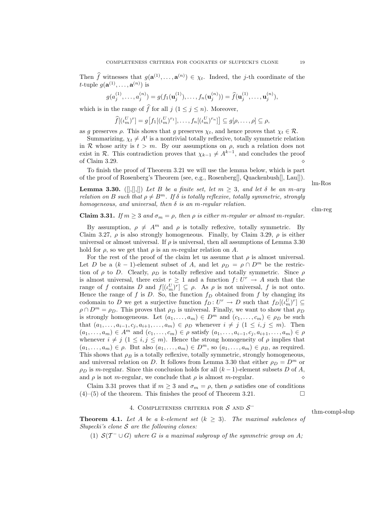Then f witnesses that  $g(\mathbf{a}^{(1)},\ldots,\mathbf{a}^{(n)}) \in \chi_t$ . Indeed, the j-th coordinate of the *t*-tuple  $g(\mathbf{a}^{(1)}, \ldots, \mathbf{a}^{(n)})$  is

$$
g(a_j^{(1)},\ldots,a_j^{(n)})=g(f_1(\mathbf{u}_j^{(1)}),\ldots,f_n(\mathbf{u}_j^{(n)}))=\widehat{f}(\mathbf{u}_j^{(1)},\ldots,\mathbf{u}_j^{(n)}),
$$

which is in the range of  $\widehat{f}$  for all  $j$  ( $1 \leq j \leq n$ ). Moreover,

$$
\widehat{f}[(\iota_m^U)^r] = g[f_1[(\iota_m^U)^{r_1}], \dots, f_n[(\iota_m^U)^{r_n}]] \subseteq g[\rho, \dots, \rho] \subseteq \rho,
$$

as g preserves  $\rho$ . This shows that g preserves  $\chi_t$ , and hence proves that  $\chi_t \in \mathcal{R}$ .

Summarizing,  $\chi_t \neq A^t$  is a nontrivial totally reflexive, totally symmetric relation in R whose arity is  $t > m$ . By our assumptions on  $\rho$ , such a relation does not exist in  $\mathcal R$ . This contradiction proves that  $\chi_{k-1} \neq A^{k-1}$ , and concludes the proof of Claim 3.29.

To finish the proof of Theorem 3.21 we will use the lemma below, which is part of the proof of Rosenberg's Theorem (see, e.g., Rosenberg[], Quackenbush[], Lau[]).

**Lemma 3.30.** ([,\[,\], []) Let B be a finite set, let  $m \geq 3$ , and let  $\delta$  be an m-ary relation on B such that  $\rho \neq B^m$ . If  $\delta$  is totally reflexive, totally symmetric, strongly homogeneous, and universal, then  $\delta$  is an m-regular relation.

**Claim 3.31.** If  $m \geq 3$  and  $\sigma_m = \rho$ , then  $\rho$  is either m-regular or almost m-regular.

By assumption,  $\rho \neq A^m$  and  $\rho$  is totally reflexive, totally symmetric. By Claim 3.27,  $\rho$  is also strongly homogeneous. Finally, by Claim 3.29,  $\rho$  is either universal or almost universal. If  $\rho$  is universal, then all assumptions of Lemma 3.30 hold for  $\rho$ , so we get that  $\rho$  is an *m*-regular relation on A.

For the rest of the proof of the claim let us assume that  $\rho$  is almost universal. Let D be a  $(k-1)$ -element subset of A, and let  $\rho_D = \rho \cap D^m$  be the restriction of  $\rho$  to D. Clearly,  $\rho_D$  is totally reflexive and totally symmetric. Since  $\rho$ is almost universal, there exist  $r \geq 1$  and a function  $f: U^r \to A$  such that the range of f contains D and  $f[(\iota_m^U)^r] \subseteq \rho$ . As  $\rho$  is not universal, f is not onto. Hence the range of f is D. So, the function  $f_D$  obtained from f by changing its codomain to D we get a surjective function  $f_D: U^r \to D$  such that  $f_D[(\iota_m^U)^r] \subseteq$  $\rho \cap D^m = \rho_D$ . This proves that  $\rho_D$  is universal. Finally, we want to show that  $\rho_D$ is strongly homogeneous. Let  $(a_1, \ldots, a_m) \in D^m$  and  $(c_1, \ldots, c_m) \in \rho_D$  be such that  $(a_1, \ldots, a_{i-1}, c_i, a_{i+1}, \ldots, a_m) \in \rho_D$  whenever  $i \neq j \ (1 \leq i, j \leq m)$ . Then  $(a_1, \ldots, a_m) \in A^m$  and  $(c_1, \ldots, c_m) \in \rho$  satisfy  $(a_1, \ldots, a_{i-1}, c_i, a_{i+1}, \ldots, a_m) \in \rho$ whenever  $i \neq j$  ( $1 \leq i, j \leq m$ ). Hence the strong homogeneity of  $\rho$  implies that  $(a_1, \ldots, a_m) \in \rho$ . But also  $(a_1, \ldots, a_m) \in D^m$ , so  $(a_1, \ldots, a_m) \in \rho_B$ , as required. This shows that  $\rho_B$  is a totally reflexive, totally symmetric, strongly homogeneous, and universal relation on D. It follows from Lemma 3.30 that either  $\rho_D = D^m$  or  $\rho_D$  is m-regular. Since this conclusion holds for all  $(k-1)$ -element subsets D of A, and  $\rho$  is not *m*-regular, we conclude that  $\rho$  is almost *m*-regular.

Claim 3.31 proves that if  $m \geq 3$  and  $\sigma_m = \rho$ , then  $\rho$  satisfies one of conditions  $(4)$ –(5) of the theorem. This finishes the proof of Theorem 3.21.

# 4. COMPLETENESS CRITERIA FOR  $S$  and  $S^-$

**Theorem 4.1.** Let A be a k-element set  $(k \geq 3)$ . The maximal subclones of Slupecki's clone  $S$  are the following clones:

(1)  $S(T^- \cup G)$  where G is a maximal subgroup of the symmetric group on A;

lm-Ros

clm-reg

thm-compl-slup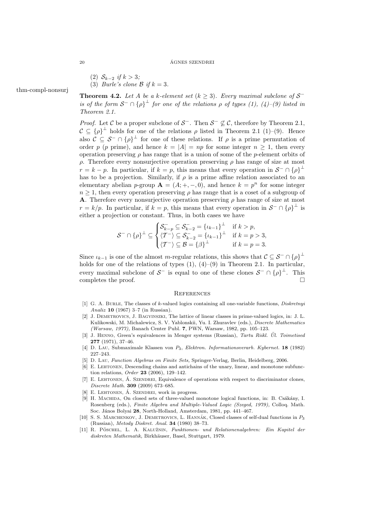\n- (2) 
$$
\mathcal{S}_{k-2}
$$
 if  $k > 3$ ;
\n- (3) *Burle's clone*  $\mathcal{B}$  if  $k = 3$ .
\n

thm-compl-nonsurj

**Theorem 4.2.** Let A be a k-element set  $(k \geq 3)$ . Every maximal subclone of  $S^$ is of the form  $S^- \cap {\{\rho\}}^{\perp}$  for one of the relations  $\rho$  of types (1), (4)–(9) listed in Theorem 2.1.

*Proof.* Let C be a proper subclone of  $S^-$ . Then  $S^- \not\subseteq C$ , therefore by Theorem 2.1,  $\mathcal{C} \subseteq {\rho}^{\perp}$  holds for one of the relations  $\rho$  listed in Theorem 2.1 (1)–(9). Hence also  $\mathcal{C} \subseteq \mathcal{S}^- \cap {\rho}^{\perp}$  for one of these relations. If  $\rho$  is a prime permutation of order p (p prime), and hence  $k = |A| = np$  for some integer  $n \ge 1$ , then every operation preserving  $\rho$  has range that is a union of some of the p-element orbits of ρ. Therefore every nonsurjective operation preserving ρ has range of size at most  $r = k - p$ . In particular, if  $k = p$ , this means that every operation in  $S^{-} \cap {\{\rho\}}^{\perp}$ has to be a projection. Similarly, if  $\rho$  is a prime affine relation associated to an elementary abelian p-group  $\mathbf{A} = (A; +, -, 0)$ , and hence  $k = p^n$  for some integer  $n \geq 1$ , then every operation preserving  $\rho$  has range that is a coset of a subgroup of **A**. Therefore every nonsurjective operation preserving  $\rho$  has range of size at most  $r = k/p$ . In particular, if  $k = p$ , this means that every operation in  $S^{-} \cap {\{\rho\}}^{\perp}$  is either a projection or constant. Thus, in both cases we have

$$
\mathcal{S}^{-} \cap \{\rho\}^{\perp} \subseteq \begin{cases} \mathcal{S}_{k-p}^{-} \subseteq \mathcal{S}_{k-2}^{-} = \{\iota_{k-1}\}^{\perp} & \text{if } k > p, \\ \langle \mathcal{T}^{-} \rangle \subseteq \mathcal{S}_{k-2}^{-} = \{\iota_{k-1}\}^{\perp} & \text{if } k = p > 3, \\ \langle \mathcal{T}^{-} \rangle \subseteq \mathcal{B} = \{\beta\}^{\perp} & \text{if } k = p = 3. \end{cases}
$$

Since  $\iota_{k-1}$  is one of the almost m-regular relations, this shows that  $\mathcal{C} \subseteq \mathcal{S}^- \cap {\{\rho\}}^{\perp}$ holds for one of the relations of types  $(1)$ ,  $(4)$ – $(9)$  in Theorem 2.1. In particular, every maximal subclone of  $S^-$  is equal to one of these clones  $S^- \cap {\{\rho\}}^{\perp}$ . This completes the proof.  $\Box$ 

# **REFERENCES**

- [1] G. A. BURLE, The classes of k-valued logics containing all one-variable functions, *Diskretnyi* Analiz 10 (1967) 3–7 (in Russian).
- [2] J. Demetrovics, J. Bagyinszki, The lattice of linear classes in prime-valued logics, in: J. L. Kulikowski, M. Michalewicz, S. V. Yablonskii, Yu. I. Zhuravlev (eds.), Discrete Mathematics (Warsaw, 1977), Banach Center Publ. 7, PWN, Warsaw, 1982, pp. 105–123.
- [3] J. HENNO, Green's equivalences in Menger systems (Russian), Tartu Riikl. Ul. Toimetised 277 (1971), 37–46.
- [4] D. Lau, Submaximale Klassen von P3, Elektron. Informationsverarb. Kybernet. 18 (1982) 227–243.
- [5] D. Lau, Function Algebras on Finite Sets, Springer-Verlag, Berlin, Heidelberg, 2006.
- [6] E. Lehtonen, Descending chains and antichains of the unary, linear, and monotone subfunction relations, Order 23 (2006), 129–142.
- [7] E. LEHTONEN, A. SZENDREI, Equivalence of operations with respect to discriminator clones, Discrete Math. 309 (2009) 673–685.
- $[8]$  E. LEHTONEN,  $\acute{A}$ . SZENDREI, work in progress.
- [9] H. MACHIDA, On closed sets of three-valued monotone logical functions, in: B. Csákány, I. Rosenberg (eds.), Finite Algebra and Multiple-Valued Logic (Szeged, 1979), Colloq. Math. Soc. János Bolyai 28, North-Holland, Amsterdam, 1981, pp. 441-467.
- [10] S. S. MARCHENKOV, J. DEMETROVICS, L. HANNÁK, Closed classes of self-dual functions in  $P_3$ (Russian), Metody Diskret. Anal. 34 (1980) 38–73.
- [11] R. PÖSCHEL, L. A. KALUŽNIN, Funktionen- und Relationenalgebren: Ein Kapitel der diskreten Mathematik, Birkhäuser, Basel, Stuttgart, 1979.